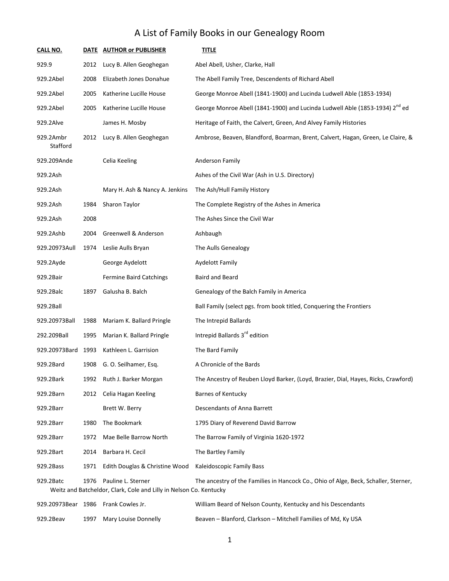| CALL NO.              |                                                                                                                                                                                         | DATE AUTHOR or PUBLISHER            | <b>TITLE</b>                                                                            |  |  |
|-----------------------|-----------------------------------------------------------------------------------------------------------------------------------------------------------------------------------------|-------------------------------------|-----------------------------------------------------------------------------------------|--|--|
| 929.9                 | 2012                                                                                                                                                                                    | Lucy B. Allen Geoghegan             | Abel Abell, Usher, Clarke, Hall                                                         |  |  |
| 929.2Abel             | 2008                                                                                                                                                                                    | Elizabeth Jones Donahue             | The Abell Family Tree, Descendents of Richard Abell                                     |  |  |
| 929.2Abel             | 2005                                                                                                                                                                                    | Katherine Lucille House             | George Monroe Abell (1841-1900) and Lucinda Ludwell Able (1853-1934)                    |  |  |
| 929.2Abel             | 2005                                                                                                                                                                                    | Katherine Lucille House             | George Monroe Abell (1841-1900) and Lucinda Ludwell Able (1853-1934) 2 <sup>nd</sup> ed |  |  |
| 929.2Alve             |                                                                                                                                                                                         | James H. Mosby                      | Heritage of Faith, the Calvert, Green, And Alvey Family Histories                       |  |  |
| 929.2Ambr<br>Stafford | 2012                                                                                                                                                                                    | Lucy B. Allen Geoghegan             | Ambrose, Beaven, Blandford, Boarman, Brent, Calvert, Hagan, Green, Le Claire, &         |  |  |
| 929.209Ande           |                                                                                                                                                                                         | Celia Keeling                       | Anderson Family                                                                         |  |  |
| 929.2Ash              |                                                                                                                                                                                         |                                     | Ashes of the Civil War (Ash in U.S. Directory)                                          |  |  |
| 929.2Ash              |                                                                                                                                                                                         | Mary H. Ash & Nancy A. Jenkins      | The Ash/Hull Family History                                                             |  |  |
| 929.2Ash              | 1984                                                                                                                                                                                    | Sharon Taylor                       | The Complete Registry of the Ashes in America                                           |  |  |
| 929.2Ash              | 2008                                                                                                                                                                                    |                                     | The Ashes Since the Civil War                                                           |  |  |
| 929.2Ashb             | 2004                                                                                                                                                                                    | Greenwell & Anderson                | Ashbaugh                                                                                |  |  |
| 929.20973Aull         | 1974                                                                                                                                                                                    | Leslie Aulls Bryan                  | The Aulls Genealogy                                                                     |  |  |
| 929.2Ayde             |                                                                                                                                                                                         | George Aydelott                     | Aydelott Family                                                                         |  |  |
| 929.2Bair             |                                                                                                                                                                                         | <b>Fermine Baird Catchings</b>      | <b>Baird and Beard</b>                                                                  |  |  |
| 929.2Balc             | 1897                                                                                                                                                                                    | Galusha B. Balch                    | Genealogy of the Balch Family in America                                                |  |  |
| 929.2Ball             |                                                                                                                                                                                         |                                     | Ball Family (select pgs. from book titled, Conquering the Frontiers                     |  |  |
| 929.20973Ball         | 1988                                                                                                                                                                                    | Mariam K. Ballard Pringle           | The Intrepid Ballards                                                                   |  |  |
| 292.209Ball           | 1995                                                                                                                                                                                    | Marian K. Ballard Pringle           | Intrepid Ballards 3 <sup>rd</sup> edition                                               |  |  |
| 929.20973Bard 1993    |                                                                                                                                                                                         | Kathleen L. Garrision               | The Bard Family                                                                         |  |  |
| 929.2Bard             | 1908                                                                                                                                                                                    | G. O. Seilhamer, Esq.               | A Chronicle of the Bards                                                                |  |  |
| 929.2Bark             | 1992                                                                                                                                                                                    | Ruth J. Barker Morgan               | The Ancestry of Reuben Lloyd Barker, (Loyd, Brazier, Dial, Hayes, Ricks, Crawford)      |  |  |
| 929.2Barn             | 2012                                                                                                                                                                                    | Celia Hagan Keeling                 | Barnes of Kentucky                                                                      |  |  |
| 929.2Barr             |                                                                                                                                                                                         | Brett W. Berry                      | Descendants of Anna Barrett                                                             |  |  |
| 929.2Barr             | 1980                                                                                                                                                                                    | The Bookmark                        | 1795 Diary of Reverend David Barrow                                                     |  |  |
| 929.2Barr             | 1972                                                                                                                                                                                    | Mae Belle Barrow North              | The Barrow Family of Virginia 1620-1972                                                 |  |  |
| 929.2Bart             | 2014                                                                                                                                                                                    | Barbara H. Cecil                    | The Bartley Family                                                                      |  |  |
| 929.2Bass             | 1971                                                                                                                                                                                    | Edith Douglas & Christine Wood      | Kaleidoscopic Family Bass                                                               |  |  |
| 929.2Batc             | 1976<br>Pauline L. Sterner<br>The ancestry of the Families in Hancock Co., Ohio of Alge, Beck, Schaller, Sterner,<br>Weitz and Batcheldor, Clark, Cole and Lilly in Nelson Co. Kentucky |                                     |                                                                                         |  |  |
|                       |                                                                                                                                                                                         | 929.20973Bear 1986 Frank Cowles Jr. | William Beard of Nelson County, Kentucky and his Descendants                            |  |  |

| 929.2Beav | 1997 Mary Louise Donnelly | Beaven - Blanford, Clarkson - Mitchell Families of Md, Ky USA |
|-----------|---------------------------|---------------------------------------------------------------|
|           |                           |                                                               |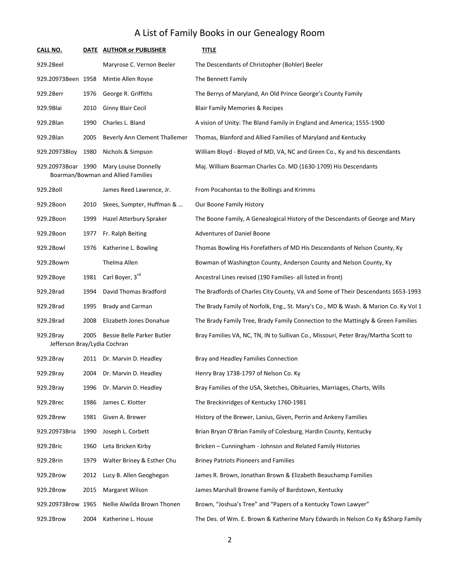| <b>CALL NO.</b>                           | DATE | <b>AUTHOR or PUBLISHER</b>                                 | <u>TITLE</u>                                                                        |
|-------------------------------------------|------|------------------------------------------------------------|-------------------------------------------------------------------------------------|
| 929.2Beel                                 |      | Maryrose C. Vernon Beeler                                  | The Descendants of Christopher (Bohler) Beeler                                      |
| 929.20973Been 1958                        |      | Mintie Allen Royse                                         | The Bennett Family                                                                  |
| 929.2Berr                                 | 1976 | George R. Griffiths                                        | The Berrys of Maryland, An Old Prince George's County Family                        |
| 929.9Blai                                 | 2010 | Ginny Blair Cecil                                          | <b>Blair Family Memories &amp; Recipes</b>                                          |
| 929.2Blan                                 | 1990 | Charles L. Bland                                           | A vision of Unity: The Bland Family in England and America; 1555-1900               |
| 929.2Blan                                 | 2005 | Beverly Ann Clement Thallemer                              | Thomas, Blanford and Allied Families of Maryland and Kentucky                       |
| 929.20973Bloy                             | 1980 | Nichols & Simpson                                          | William Bloyd - Bloyed of MD, VA, NC and Green Co., Ky and his descendants          |
| 929.20973Boar 1990                        |      | Mary Louise Donnelly<br>Boarman/Bowman and Allied Families | Maj. William Boarman Charles Co. MD (1630-1709) His Descendants                     |
| 929.2Boll                                 |      | James Reed Lawrence, Jr.                                   | From Pocahontas to the Bollings and Krimms                                          |
| 929.2Boon                                 | 2010 | Skees, Sumpter, Huffman &                                  | Our Boone Family History                                                            |
| 929.2Boon                                 | 1999 | Hazel Atterbury Spraker                                    | The Boone Family, A Genealogical History of the Descendants of George and Mary      |
| 929.2Boon                                 | 1977 | Fr. Ralph Beiting                                          | <b>Adventures of Daniel Boone</b>                                                   |
| 929.2Bowl                                 | 1976 | Katherine L. Bowling                                       | Thomas Bowling His Forefathers of MD His Descendants of Nelson County, Ky           |
| 929.2Bowm                                 |      | Thelma Allen                                               | Bowman of Washington County, Anderson County and Nelson County, Ky                  |
| 929.2Boye                                 | 1981 | Carl Boyer, 3rd                                            | Ancestral Lines revised (190 Families- all listed in front)                         |
| 929.2Brad                                 | 1994 | David Thomas Bradford                                      | The Bradfords of Charles City County, VA and Some of Their Descendants 1653-1993    |
| 929.2Brad                                 | 1995 | Brady and Carman                                           | The Brady Family of Norfolk, Eng., St. Mary's Co., MD & Wash. & Marion Co. Ky Vol 1 |
| 929.2Brad                                 | 2008 | Elizabeth Jones Donahue                                    | The Brady Family Tree, Brady Family Connection to the Mattingly & Green Families    |
| 929.2Bray<br>Jefferson Bray/Lydia Cochran | 2005 | Bessie Belle Parker Butler                                 | Bray Families VA, NC, TN, IN to Sullivan Co., Missouri, Peter Bray/Martha Scott to  |
| 929.2Bray                                 |      | 2011 Dr. Marvin D. Headley                                 | Bray and Headley Families Connection                                                |
| 929.2Bray                                 |      | 2004 Dr. Marvin D. Headley                                 | Henry Bray 1738-1797 of Nelson Co. Ky                                               |
| 929.2Bray                                 | 1996 | Dr. Marvin D. Headley                                      | Bray Families of the USA, Sketches, Obituaries, Marriages, Charts, Wills            |
| 929.2Brec                                 | 1986 | James C. Klotter                                           | The Breckinridges of Kentucky 1760-1981                                             |
| 929.2Brew                                 | 1981 | Given A. Brewer                                            | History of the Brewer, Lanius, Given, Perrin and Ankeny Families                    |
| 929.20973Bria                             | 1990 | Joseph L. Corbett                                          | Brian Bryan O'Brian Family of Colesburg, Hardin County, Kentucky                    |
| 929.2Bric                                 | 1960 | Leta Bricken Kirby                                         | Bricken - Cunningham - Johnson and Related Family Histories                         |
| 929.2Brin                                 | 1979 | Walter Briney & Esther Chu                                 | <b>Briney Patriots Pioneers and Families</b>                                        |
| 929.2Brow                                 | 2012 | Lucy B. Allen Geoghegan                                    | James R. Brown, Jonathan Brown & Elizabeth Beauchamp Families                       |
| 929.2Brow                                 | 2015 | Margaret Wilson                                            | James Marshall Browne Family of Bardstown, Kentucky                                 |
| 929.20973Brow 1965                        |      | Nellie Alwilda Brown Thonen                                | Brown, "Joshua's Tree" and "Papers of a Kentucky Town Lawyer"                       |
| 929.2Brow                                 | 2004 | Katherine L. House                                         | The Des. of Wm. E. Brown & Katherine Mary Edwards in Nelson Co Ky & Sharp Family    |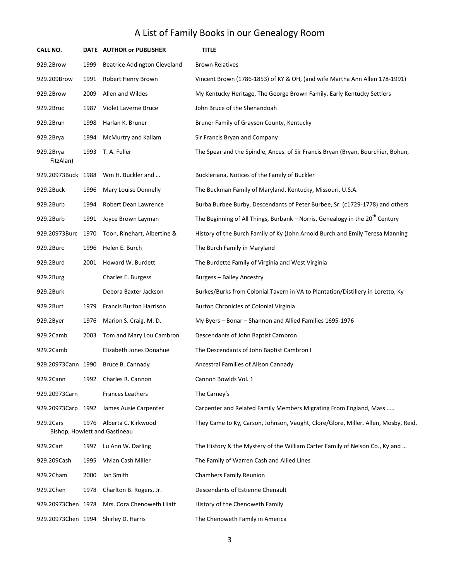| CALL NO.               |      | DATE AUTHOR or PUBLISHER                             | <b>TITLE</b>                                                                       |
|------------------------|------|------------------------------------------------------|------------------------------------------------------------------------------------|
| 929.2Brow              | 1999 | <b>Beatrice Addington Cleveland</b>                  | <b>Brown Relatives</b>                                                             |
| 929.209Brow            | 1991 | Robert Henry Brown                                   | Vincent Brown (1786-1853) of KY & OH, (and wife Martha Ann Allen 178-1991)         |
| 929.2Brow              | 2009 | Allen and Wildes                                     | My Kentucky Heritage, The George Brown Family, Early Kentucky Settlers             |
| 929.2Bruc              | 1987 | Violet Laverne Bruce                                 | John Bruce of the Shenandoah                                                       |
| 929.2Brun              | 1998 | Harlan K. Bruner                                     | Bruner Family of Grayson County, Kentucky                                          |
| 929.2Brya              | 1994 | McMurtry and Kallam                                  | Sir Francis Bryan and Company                                                      |
| 929.2Brya<br>FitzAlan) | 1993 | T. A. Fuller                                         | The Spear and the Spindle, Ances. of Sir Francis Bryan (Bryan, Bourchier, Bohun,   |
| 929.20973Buck 1988     |      | Wm H. Buckler and                                    | Buckleriana, Notices of the Family of Buckler                                      |
| 929.2Buck              | 1996 | Mary Louise Donnelly                                 | The Buckman Family of Maryland, Kentucky, Missouri, U.S.A.                         |
| 929.2Burb              | 1994 | Robert Dean Lawrence                                 | Burba Burbee Burby, Descendants of Peter Burbee, Sr. (c1729-1778) and others       |
| 929.2Burb              | 1991 | Joyce Brown Layman                                   | The Beginning of All Things, Burbank – Norris, Genealogy in the $20th$ Century     |
| 929.20973Burc 1970     |      | Toon, Rinehart, Albertine &                          | History of the Burch Family of Ky (John Arnold Burch and Emily Teresa Manning      |
| 929.2Burc              | 1996 | Helen E. Burch                                       | The Burch Family in Maryland                                                       |
| 929.2Burd              | 2001 | Howard W. Burdett                                    | The Burdette Family of Virginia and West Virginia                                  |
| 929.2Burg              |      | Charles E. Burgess                                   | <b>Burgess - Bailey Ancestry</b>                                                   |
| 929.2Burk              |      | Debora Baxter Jackson                                | Burkes/Burks from Colonial Tavern in VA to Plantation/Distillery in Loretto, Ky    |
| 929.2Burt              | 1979 | <b>Francis Burton Harrison</b>                       | Burton Chronicles of Colonial Virginia                                             |
| 929.2Byer              | 1976 | Marion S. Craig, M. D.                               | My Byers - Bonar - Shannon and Allied Families 1695-1976                           |
| 929.2Camb              | 2003 | Tom and Mary Lou Cambron                             | Descendants of John Baptist Cambron                                                |
| 929.2Camb              |      | Elizabeth Jones Donahue                              | The Descendants of John Baptist Cambron I                                          |
| 929.20973Cann 1990     |      | Bruce B. Cannady                                     | Ancestral Families of Alison Cannady                                               |
| 929.2Cann              | 1992 | Charles R. Cannon                                    | Cannon Bowlds Vol. 1                                                               |
| 929.20973Carn          |      | <b>Frances Leathers</b>                              | The Carney's                                                                       |
| 929.20973Carp 1992     |      | James Ausie Carpenter                                | Carpenter and Related Family Members Migrating From England, Mass                  |
| 929.2Cars              | 1976 | Alberta C. Kirkwood<br>Bishop, Howlett and Gastineau | They Came to Ky, Carson, Johnson, Vaught, Clore/Glore, Miller, Allen, Mosby, Reid, |
| 929.2Cart              | 1997 | Lu Ann W. Darling                                    | The History & the Mystery of the William Carter Family of Nelson Co., Ky and       |
| 929.209Cash            | 1995 | Vivian Cash Miller                                   | The Family of Warren Cash and Allied Lines                                         |
| 929.2Cham              | 2000 | Jan Smith                                            | <b>Chambers Family Reunion</b>                                                     |
| 929.2Chen              | 1978 | Charlton B. Rogers, Jr.                              | Descendants of Estienne Chenault                                                   |
| 929.20973Chen 1978     |      | Mrs. Cora Chenoweth Hiatt                            | History of the Chenoweth Family                                                    |
| 929.20973Chen 1994     |      | Shirley D. Harris                                    | The Chenoweth Family in America                                                    |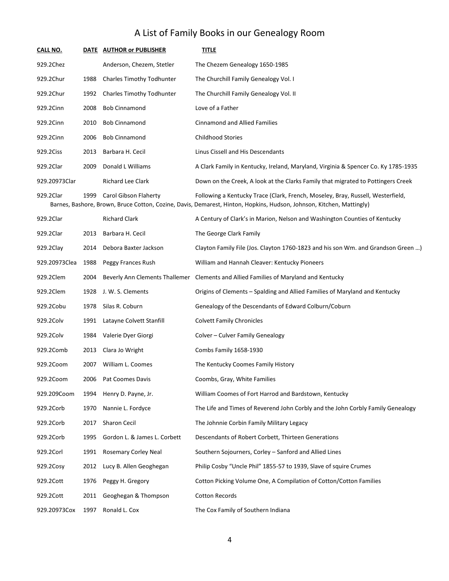| <b>CALL NO.</b> |      | DATE AUTHOR or PUBLISHER         | <b>TITLE</b>                                                                                                                                                                                            |
|-----------------|------|----------------------------------|---------------------------------------------------------------------------------------------------------------------------------------------------------------------------------------------------------|
| 929.2Chez       |      | Anderson, Chezem, Stetler        | The Chezem Genealogy 1650-1985                                                                                                                                                                          |
| 929.2Chur       | 1988 | <b>Charles Timothy Todhunter</b> | The Churchill Family Genealogy Vol. I                                                                                                                                                                   |
| 929.2Chur       | 1992 | <b>Charles Timothy Todhunter</b> | The Churchill Family Genealogy Vol. II                                                                                                                                                                  |
| 929.2Cinn       | 2008 | <b>Bob Cinnamond</b>             | Love of a Father                                                                                                                                                                                        |
| 929.2Cinn       | 2010 | <b>Bob Cinnamond</b>             | <b>Cinnamond and Allied Families</b>                                                                                                                                                                    |
| 929.2Cinn       | 2006 | <b>Bob Cinnamond</b>             | <b>Childhood Stories</b>                                                                                                                                                                                |
| 929.2Ciss       | 2013 | Barbara H. Cecil                 | Linus Cissell and His Descendants                                                                                                                                                                       |
| 929.2Clar       | 2009 | Donald L Williams                | A Clark Family in Kentucky, Ireland, Maryland, Virginia & Spencer Co. Ky 1785-1935                                                                                                                      |
| 929.20973Clar   |      | <b>Richard Lee Clark</b>         | Down on the Creek, A look at the Clarks Family that migrated to Pottingers Creek                                                                                                                        |
| 929.2Clar       | 1999 | Carol Gibson Flaherty            | Following a Kentucky Trace (Clark, French, Moseley, Bray, Russell, Westerfield,<br>Barnes, Bashore, Brown, Bruce Cotton, Cozine, Davis, Demarest, Hinton, Hopkins, Hudson, Johnson, Kitchen, Mattingly) |
| 929.2Clar       |      | <b>Richard Clark</b>             | A Century of Clark's in Marion, Nelson and Washington Counties of Kentucky                                                                                                                              |
| 929.2Clar       | 2013 | Barbara H. Cecil                 | The George Clark Family                                                                                                                                                                                 |
| $9292$ Clay     |      | 2014 - Debora Raxter Jackson     | Clayton Family File (Jos. Clayton 1760-1823 and his son Wm, and Grandson Green                                                                                                                          |

| 929.2Clay     | 2014 | Debora Baxter Jackson        | Clayton Family File (Jos. Clayton 1760-1823 and his son Wm. and Grandson Green )     |
|---------------|------|------------------------------|--------------------------------------------------------------------------------------|
| 929.20973Clea | 1988 | Peggy Frances Rush           | William and Hannah Cleaver: Kentucky Pioneers                                        |
| 929.2Clem     | 2004 |                              | Beverly Ann Clements Thallemer Clements and Allied Families of Maryland and Kentucky |
| 929.2Clem     | 1928 | J. W. S. Clements            | Origins of Clements – Spalding and Allied Families of Maryland and Kentucky          |
| 929.2Cobu     | 1978 | Silas R. Coburn              | Genealogy of the Descendants of Edward Colburn/Coburn                                |
| 929.2Colv     | 1991 | Latayne Colvett Stanfill     | <b>Colvett Family Chronicles</b>                                                     |
| 929.2Colv     | 1984 | Valerie Dyer Giorgi          | Colver - Culver Family Genealogy                                                     |
| 929.2Comb     | 2013 | Clara Jo Wright              | Combs Family 1658-1930                                                               |
| 929.2Coom     | 2007 | William L. Coomes            | The Kentucky Coomes Family History                                                   |
| 929.2Coom     | 2006 | Pat Coomes Davis             | Coombs, Gray, White Families                                                         |
| 929.209Coom   | 1994 | Henry D. Payne, Jr.          | William Coomes of Fort Harrod and Bardstown, Kentucky                                |
| 929.2Corb     | 1970 | Nannie L. Fordyce            | The Life and Times of Reverend John Corbly and the John Corbly Family Genealogy      |
| 929.2Corb     | 2017 | <b>Sharon Cecil</b>          | The Johnnie Corbin Family Military Legacy                                            |
| 929.2Corb     | 1995 | Gordon L. & James L. Corbett | Descendants of Robert Corbett, Thirteen Generations                                  |
| 929.2Corl     | 1991 | Rosemary Corley Neal         | Southern Sojourners, Corley - Sanford and Allied Lines                               |
| 929.2Cosy     | 2012 | Lucy B. Allen Geoghegan      | Philip Cosby "Uncle Phil" 1855-57 to 1939, Slave of squire Crumes                    |
| 929.2Cott     | 1976 | Peggy H. Gregory             | Cotton Picking Volume One, A Compilation of Cotton/Cotton Families                   |
| 929.2Cott     | 2011 | Geoghegan & Thompson         | <b>Cotton Records</b>                                                                |
| 929.20973Cox  | 1997 | Ronald L. Cox                | The Cox Family of Southern Indiana                                                   |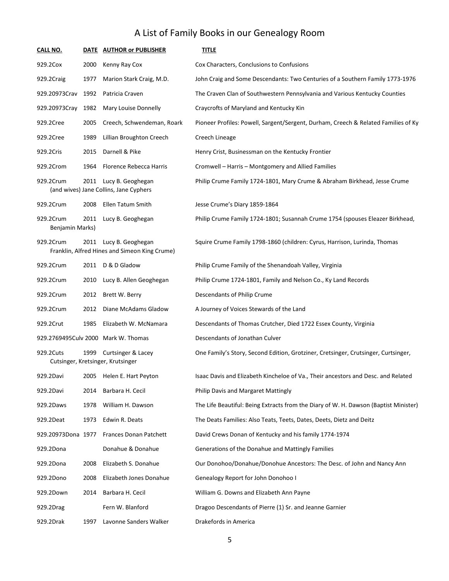| <b>CALL NO.</b>              |      | DATE AUTHOR or PUBLISHER                                                | <b>TITLE</b>                                                                         |
|------------------------------|------|-------------------------------------------------------------------------|--------------------------------------------------------------------------------------|
| 929.2Cox                     | 2000 | Kenny Ray Cox                                                           | Cox Characters, Conclusions to Confusions                                            |
| 929.2Craig                   | 1977 | Marion Stark Craig, M.D.                                                | John Craig and Some Descendants: Two Centuries of a Southern Family 1773-1976        |
| 929.20973Crav 1992           |      | Patricia Craven                                                         | The Craven Clan of Southwestern Pennsylvania and Various Kentucky Counties           |
| 929.20973Cray                | 1982 | Mary Louise Donnelly                                                    | Craycrofts of Maryland and Kentucky Kin                                              |
| 929.2Cree                    | 2005 | Creech, Schwendeman, Roark                                              | Pioneer Profiles: Powell, Sargent/Sergent, Durham, Creech & Related Families of Ky   |
| 929.2Cree                    | 1989 | Lillian Broughton Creech                                                | Creech Lineage                                                                       |
| 929.2Cris                    | 2015 | Darnell & Pike                                                          | Henry Crist, Businessman on the Kentucky Frontier                                    |
| 929.2Crom                    | 1964 | Florence Rebecca Harris                                                 | Cromwell - Harris - Montgomery and Allied Families                                   |
| 929.2Crum                    |      | 2011 Lucy B. Geoghegan<br>(and wives) Jane Collins, Jane Cyphers        | Philip Crume Family 1724-1801, Mary Crume & Abraham Birkhead, Jesse Crume            |
| 929.2Crum                    | 2008 | Ellen Tatum Smith                                                       | Jesse Crume's Diary 1859-1864                                                        |
| 929.2Crum<br>Benjamin Marks) | 2011 | Lucy B. Geoghegan                                                       | Philip Crume Family 1724-1801; Susannah Crume 1754 (spouses Eleazer Birkhead,        |
| 929.2Crum                    |      | 2011 Lucy B. Geoghegan<br>Franklin, Alfred Hines and Simeon King Crume) | Squire Crume Family 1798-1860 (children: Cyrus, Harrison, Lurinda, Thomas            |
| 929.2Crum                    |      | 2011 D & D Gladow                                                       | Philip Crume Family of the Shenandoah Valley, Virginia                               |
| 929.2Crum                    | 2010 | Lucy B. Allen Geoghegan                                                 | Philip Crume 1724-1801, Family and Nelson Co., Ky Land Records                       |
| 929.2Crum                    | 2012 | Brett W. Berry                                                          | Descendants of Philip Crume                                                          |
| 929.2Crum                    | 2012 | Diane McAdams Gladow                                                    | A Journey of Voices Stewards of the Land                                             |
| 929.2Crut                    | 1985 | Elizabeth W. McNamara                                                   | Descendants of Thomas Crutcher, Died 1722 Essex County, Virginia                     |
|                              |      | 929.2769495Culv 2000 Mark W. Thomas                                     | Descendants of Jonathan Culver                                                       |
| 929.2Cuts                    | 1999 | <b>Curtsinger &amp; Lacey</b><br>Cutsinger, Kretsinger, Krutsinger      | One Family's Story, Second Edition, Grotziner, Cretsinger, Crutsinger, Curtsinger,   |
| 929.2Davi                    | 2005 | Helen E. Hart Peyton                                                    | Isaac Davis and Elizabeth Kincheloe of Va., Their ancestors and Desc. and Related    |
| 929.2Davi                    | 2014 | Barbara H. Cecil                                                        | Philip Davis and Margaret Mattingly                                                  |
| 929.2Daws                    | 1978 | William H. Dawson                                                       | The Life Beautiful: Being Extracts from the Diary of W. H. Dawson (Baptist Minister) |
| 929.2Deat                    | 1973 | Edwin R. Deats                                                          | The Deats Families: Also Teats, Teets, Dates, Deets, Dietz and Deitz                 |
| 929.20973Dona 1977           |      | Frances Donan Patchett                                                  | David Crews Donan of Kentucky and his family 1774-1974                               |
| 929.2Dona                    |      | Donahue & Donahue                                                       | Generations of the Donahue and Mattingly Families                                    |
| 929.2Dona                    | 2008 | Elizabeth S. Donahue                                                    | Our Donohoo/Donahue/Donohue Ancestors: The Desc. of John and Nancy Ann               |
| 929.2Dono                    | 2008 | Elizabeth Jones Donahue                                                 | Genealogy Report for John Donohoo I                                                  |
| 929.2Down                    | 2014 | Barbara H. Cecil                                                        | William G. Downs and Elizabeth Ann Payne                                             |
| 929.2Drag                    |      | Fern W. Blanford                                                        | Dragoo Descendants of Pierre (1) Sr. and Jeanne Garnier                              |
| 929.2Drak                    | 1997 | Lavonne Sanders Walker                                                  | Drakefords in America                                                                |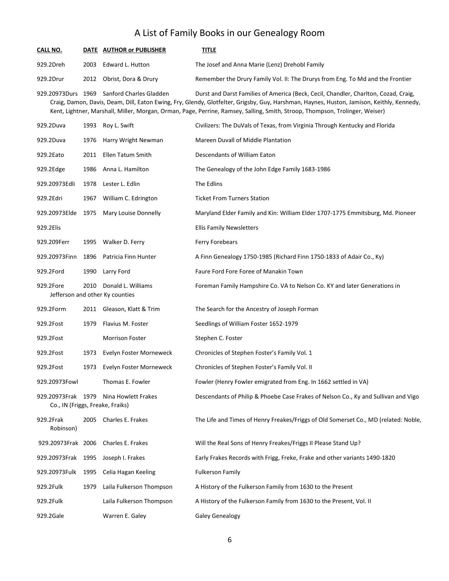| <b>CALL NO.</b>                                        |      | DATE AUTHOR or PUBLISHER                              | <b>TITLE</b>                                                                                                                                                                                                                                                                                                                                                     |
|--------------------------------------------------------|------|-------------------------------------------------------|------------------------------------------------------------------------------------------------------------------------------------------------------------------------------------------------------------------------------------------------------------------------------------------------------------------------------------------------------------------|
| 929.2Dreh                                              | 2003 | Edward L. Hutton                                      | The Josef and Anna Marie (Lenz) Drehobl Family                                                                                                                                                                                                                                                                                                                   |
| 929.2Drur                                              | 2012 | Obrist, Dora & Drury                                  | Remember the Drury Family Vol. II: The Drurys from Eng. To Md and the Frontier                                                                                                                                                                                                                                                                                   |
|                                                        |      | 929.20973Durs 1969 Sanford Charles Gladden            | Durst and Darst Families of America (Beck, Cecil, Chandler, Charlton, Cozad, Craig,<br>Craig, Damon, Davis, Deam, Dill, Eaton Ewing, Fry, Glendy, Glotfelter, Grigsby, Guy, Harshman, Haynes, Huston, Jamison, Keithly, Kennedy,<br>Kent, Lightner, Marshall, Miller, Morgan, Orman, Page, Perrine, Ramsey, Salling, Smith, Stroop, Thompson, Trolinger, Weiser) |
| 929.2Duva                                              | 1993 | Roy L. Swift                                          | Civilizers: The DuVals of Texas, from Virginia Through Kentucky and Florida                                                                                                                                                                                                                                                                                      |
| 929.2Duva                                              | 1976 | Harry Wright Newman                                   | Mareen Duvall of Middle Plantation                                                                                                                                                                                                                                                                                                                               |
| 929.2Eato                                              | 2011 | Ellen Tatum Smith                                     | Descendants of William Eaton                                                                                                                                                                                                                                                                                                                                     |
| 929.2Edge                                              | 1986 | Anna L. Hamilton                                      | The Genealogy of the John Edge Family 1683-1986                                                                                                                                                                                                                                                                                                                  |
| 929.20973Edli                                          | 1978 | Lester L. Edlin                                       | The Edlins                                                                                                                                                                                                                                                                                                                                                       |
| 929.2Edri                                              | 1967 | William C. Edrington                                  | <b>Ticket From Turners Station</b>                                                                                                                                                                                                                                                                                                                               |
| 929.20973Elde                                          | 1975 | Mary Louise Donnelly                                  | Maryland Elder Family and Kin: William Elder 1707-1775 Emmitsburg, Md. Pioneer                                                                                                                                                                                                                                                                                   |
| 929.2Elis                                              |      |                                                       | <b>Ellis Family Newsletters</b>                                                                                                                                                                                                                                                                                                                                  |
| 929.209Ferr                                            | 1995 | Walker D. Ferry                                       | Ferry Forebears                                                                                                                                                                                                                                                                                                                                                  |
| 929.20973Finn                                          | 1896 | Patricia Finn Hunter                                  | A Finn Genealogy 1750-1985 (Richard Finn 1750-1833 of Adair Co., Ky)                                                                                                                                                                                                                                                                                             |
| 929.2Ford                                              | 1990 | Larry Ford                                            | Faure Ford Fore Foree of Manakin Town                                                                                                                                                                                                                                                                                                                            |
| 929.2Fore                                              | 2010 | Donald L. Williams<br>Jefferson and other Ky counties | Foreman Family Hampshire Co. VA to Nelson Co. KY and later Generations in                                                                                                                                                                                                                                                                                        |
| 929.2Form                                              | 2011 | Gleason, Klatt & Trim                                 | The Search for the Ancestry of Joseph Forman                                                                                                                                                                                                                                                                                                                     |
| 929.2Fost                                              | 1979 | Flavius M. Foster                                     | Seedlings of William Foster 1652-1979                                                                                                                                                                                                                                                                                                                            |
| 929.2Fost                                              |      | <b>Morrison Foster</b>                                | Stephen C. Foster                                                                                                                                                                                                                                                                                                                                                |
| 929.2Fost                                              | 1973 | Evelyn Foster Morneweck                               | Chronicles of Stephen Foster's Family Vol. 1                                                                                                                                                                                                                                                                                                                     |
| 929.2Fost                                              | 1973 | Evelyn Foster Morneweck                               | Chronicles of Stephen Foster's Family Vol. II                                                                                                                                                                                                                                                                                                                    |
| 929.20973Fowl                                          |      | Thomas E. Fowler                                      | Fowler (Henry Fowler emigrated from Eng. In 1662 settled in VA)                                                                                                                                                                                                                                                                                                  |
| 929.20973Frak 1979<br>Co., IN (Friggs, Freake, Fraiks) |      | Nina Howlett Frakes                                   | Descendants of Philip & Phoebe Case Frakes of Nelson Co., Ky and Sullivan and Vigo                                                                                                                                                                                                                                                                               |
| 929.2Frak<br>Robinson)                                 | 2005 | Charles E. Frakes                                     | The Life and Times of Henry Freakes/Friggs of Old Somerset Co., MD (related: Noble,                                                                                                                                                                                                                                                                              |
| 929.20973Frak 2006                                     |      | Charles E. Frakes                                     | Will the Real Sons of Henry Freakes/Friggs II Please Stand Up?                                                                                                                                                                                                                                                                                                   |
| 929.20973Frak 1995                                     |      | Joseph I. Frakes                                      | Early Frakes Records with Frigg, Freke, Frake and other variants 1490-1820                                                                                                                                                                                                                                                                                       |
| 929.20973Fulk                                          | 1995 | Celia Hagan Keeling                                   | <b>Fulkerson Family</b>                                                                                                                                                                                                                                                                                                                                          |
| 929.2Fulk                                              | 1979 | Laila Fulkerson Thompson                              | A History of the Fulkerson Family from 1630 to the Present                                                                                                                                                                                                                                                                                                       |
| 929.2Fulk                                              |      | Laila Fulkerson Thompson                              | A History of the Fulkerson Family from 1630 to the Present, Vol. II                                                                                                                                                                                                                                                                                              |
| 929.2Gale                                              |      | Warren E. Galey                                       | <b>Galey Genealogy</b>                                                                                                                                                                                                                                                                                                                                           |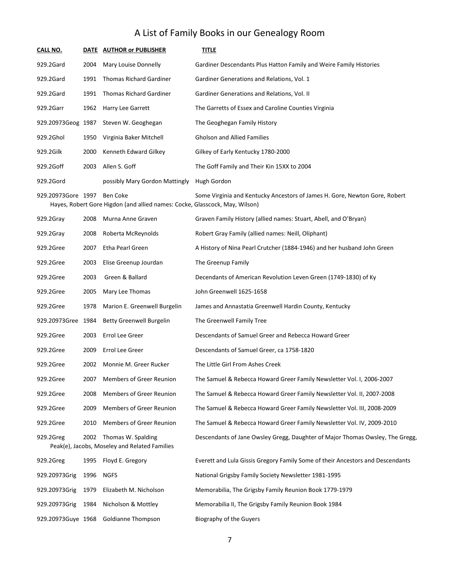| CALL NO.           |      | DATE AUTHOR or PUBLISHER                                                                | <b>TITLE</b>                                                                   |
|--------------------|------|-----------------------------------------------------------------------------------------|--------------------------------------------------------------------------------|
| 929.2Gard          | 2004 | Mary Louise Donnelly                                                                    | Gardiner Descendants Plus Hatton Family and Weire Family Histories             |
| 929.2Gard          | 1991 | <b>Thomas Richard Gardiner</b>                                                          | Gardiner Generations and Relations, Vol. 1                                     |
| 929.2Gard          | 1991 | <b>Thomas Richard Gardiner</b>                                                          | Gardiner Generations and Relations, Vol. II                                    |
| 929.2Garr          | 1962 | Harry Lee Garrett                                                                       | The Garretts of Essex and Caroline Counties Virginia                           |
| 929.20973Geog 1987 |      | Steven W. Geoghegan                                                                     | The Geoghegan Family History                                                   |
| 929.2Ghol          | 1950 | Virginia Baker Mitchell                                                                 | <b>Gholson and Allied Families</b>                                             |
| 929.2Gilk          | 2000 | Kenneth Edward Gilkey                                                                   | Gilkey of Early Kentucky 1780-2000                                             |
| 929.2Goff          | 2003 | Allen S. Goff                                                                           | The Goff Family and Their Kin 15XX to 2004                                     |
| 929.2Gord          |      | possibly Mary Gordon Mattingly                                                          | Hugh Gordon                                                                    |
| 929.20973Gore 1997 |      | Ben Coke<br>Hayes, Robert Gore Higdon (and allied names: Cocke, Glasscock, May, Wilson) | Some Virginia and Kentucky Ancestors of James H. Gore, Newton Gore, Robert     |
| 929.2Gray          | 2008 | Murna Anne Graven                                                                       | Graven Family History (allied names: Stuart, Abell, and O'Bryan)               |
| 929.2Gray          | 2008 | Roberta McReynolds                                                                      | Robert Gray Family (allied names: Neill, Oliphant)                             |
| 929.2Gree          | 2007 | Etha Pearl Green                                                                        | A History of Nina Pearl Crutcher (1884-1946) and her husband John Green        |
| 929.2Gree          | 2003 | Elise Greenup Jourdan                                                                   | The Greenup Family                                                             |
| 929.2Gree          | 2003 | Green & Ballard                                                                         | Decendants of American Revolution Leven Green (1749-1830) of Ky                |
| 929.2Gree          | 2005 | Mary Lee Thomas                                                                         | John Greenwell 1625-1658                                                       |
| 929.2Gree          | 1978 | Marion E. Greenwell Burgelin                                                            | James and Annastatia Greenwell Hardin County, Kentucky                         |
| 929.20973Gree 1984 |      | <b>Betty Greenwell Burgelin</b>                                                         | The Greenwell Family Tree                                                      |
| 929.2Gree          | 2003 | Errol Lee Greer                                                                         | Descendants of Samuel Greer and Rebecca Howard Greer                           |
| 929.2Gree          | 2009 | Errol Lee Greer                                                                         | Descendants of Samuel Greer, ca 1758-1820                                      |
| 929.2Gree          | 2002 | Monnie M. Greer Rucker                                                                  | The Little Girl From Ashes Creek                                               |
| 929.2Gree          | 2007 | Members of Greer Reunion                                                                | The Samuel & Rebecca Howard Greer Family Newsletter Vol. I, 2006-2007          |
| 929.2Gree          | 2008 | Members of Greer Reunion                                                                | The Samuel & Rebecca Howard Greer Family Newsletter Vol. II, 2007-2008         |
| 929.2Gree          | 2009 | Members of Greer Reunion                                                                | The Samuel & Rebecca Howard Greer Family Newsletter Vol. III, 2008-2009        |
| 929.2Gree          | 2010 | Members of Greer Reunion                                                                | The Samuel & Rebecca Howard Greer Family Newsletter Vol. IV, 2009-2010         |
| 929.2Greg          | 2002 | Thomas W. Spalding<br>Peak(e), Jacobs, Moseley and Related Families                     | Descendants of Jane Owsley Gregg, Daughter of Major Thomas Owsley, The Gregg,  |
| 929.2Greg          | 1995 | Floyd E. Gregory                                                                        | Everett and Lula Gissis Gregory Family Some of their Ancestors and Descendants |
| 929.20973Grig      | 1996 | NGFS                                                                                    | National Grigsby Family Society Newsletter 1981-1995                           |
| 929.20973Grig      | 1979 | Elizabeth M. Nicholson                                                                  | Memorabilia, The Grigsby Family Reunion Book 1779-1979                         |
| 929.20973Grig      | 1984 | Nicholson & Mottley                                                                     | Memorabilia II, The Grigsby Family Reunion Book 1984                           |
| 929.20973Guye 1968 |      | Goldianne Thompson                                                                      | <b>Biography of the Guyers</b>                                                 |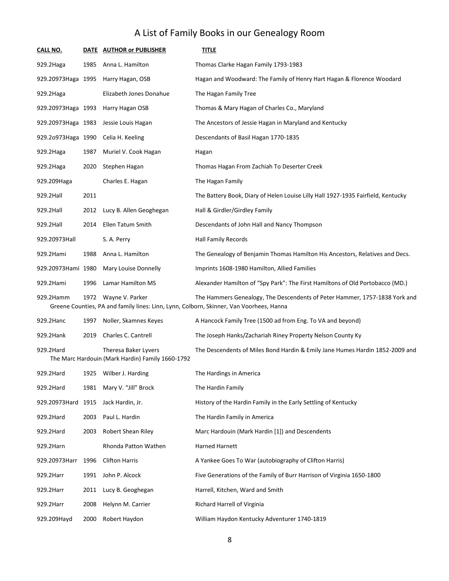| <b>CALL NO.</b>    |      | DATE AUTHOR or PUBLISHER                                                 | <b>TITLE</b>                                                                                                                                                          |
|--------------------|------|--------------------------------------------------------------------------|-----------------------------------------------------------------------------------------------------------------------------------------------------------------------|
| 929.2Haga          | 1985 | Anna L. Hamilton                                                         | Thomas Clarke Hagan Family 1793-1983                                                                                                                                  |
| 929.20973Haga 1995 |      | Harry Hagan, OSB                                                         | Hagan and Woodward: The Family of Henry Hart Hagan & Florence Woodard                                                                                                 |
| 929.2Haga          |      | Elizabeth Jones Donahue                                                  | The Hagan Family Tree                                                                                                                                                 |
| 929.20973Haga 1993 |      | Harry Hagan OSB                                                          | Thomas & Mary Hagan of Charles Co., Maryland                                                                                                                          |
| 929.20973Haga 1983 |      | Jessie Louis Hagan                                                       | The Ancestors of Jessie Hagan in Maryland and Kentucky                                                                                                                |
| 929.2o973Haga 1990 |      | Celia H. Keeling                                                         | Descendants of Basil Hagan 1770-1835                                                                                                                                  |
| 929.2Haga          | 1987 | Muriel V. Cook Hagan                                                     | Hagan                                                                                                                                                                 |
| 929.2Haga          | 2020 | Stephen Hagan                                                            | Thomas Hagan From Zachiah To Deserter Creek                                                                                                                           |
| 929.209Haga        |      | Charles E. Hagan                                                         | The Hagan Family                                                                                                                                                      |
| 929.2Hall          | 2011 |                                                                          | The Battery Book, Diary of Helen Louise Lilly Hall 1927-1935 Fairfield, Kentucky                                                                                      |
| 929.2Hall          | 2012 | Lucy B. Allen Geoghegan                                                  | Hall & Girdler/Girdley Family                                                                                                                                         |
| 929.2Hall          | 2014 | Ellen Tatum Smith                                                        | Descendants of John Hall and Nancy Thompson                                                                                                                           |
| 929.20973Hall      |      | S. A. Perry                                                              | <b>Hall Family Records</b>                                                                                                                                            |
| 929.2Hami          | 1988 | Anna L. Hamilton                                                         | The Genealogy of Benjamin Thomas Hamilton His Ancestors, Relatives and Decs.                                                                                          |
| 929.20973Hami 1980 |      | Mary Louise Donnelly                                                     | Imprints 1608-1980 Hamilton, Allied Families                                                                                                                          |
| 929.2Hami          | 1996 | Lamar Hamilton MS                                                        | Alexander Hamilton of "Spy Park": The First Hamiltons of Old Portobacco (MD.)                                                                                         |
| 929.2Hamm          | 1972 | Wayne V. Parker                                                          | The Hammers Genealogy, The Descendents of Peter Hammer, 1757-1838 York and<br>Greene Counties, PA and family lines: Linn, Lynn, Colborn, Skinner, Van Voorhees, Hanna |
| 929.2Hanc          | 1997 | Noller, Skamnes Keyes                                                    | A Hancock Family Tree (1500 ad from Eng. To VA and beyond)                                                                                                            |
| 929.2Hank          | 2019 | Charles C. Cantrell                                                      | The Joseph Hanks/Zachariah Riney Property Nelson County Ky                                                                                                            |
| 929.2Hard          |      | Theresa Baker Lyvers<br>The Marc Hardouin (Mark Hardin) Family 1660-1792 | The Descendents of Miles Bond Hardin & Emily Jane Humes Hardin 1852-2009 and                                                                                          |
| 929.2Hard          |      | 1925 Wilber J. Harding                                                   | The Hardings in America                                                                                                                                               |
| 929.2Hard          | 1981 | Mary V. "Jill" Brock                                                     | The Hardin Family                                                                                                                                                     |
| 929.20973Hard 1915 |      | Jack Hardin, Jr.                                                         | History of the Hardin Family in the Early Settling of Kentucky                                                                                                        |
| 929.2Hard          | 2003 | Paul L. Hardin                                                           | The Hardin Family in America                                                                                                                                          |
| 929.2Hard          | 2003 | Robert Shean Riley                                                       | Marc Hardouin (Mark Hardin [1]) and Descendents                                                                                                                       |
| 929.2Harn          |      | Rhonda Patton Wathen                                                     | <b>Harned Harnett</b>                                                                                                                                                 |
| 929.20973Harr      | 1996 | <b>Clifton Harris</b>                                                    | A Yankee Goes To War (autobiography of Clifton Harris)                                                                                                                |
| 929.2Harr          | 1991 | John P. Alcock                                                           | Five Generations of the Family of Burr Harrison of Virginia 1650-1800                                                                                                 |
| 929.2Harr          | 2011 | Lucy B. Geoghegan                                                        | Harrell, Kitchen, Ward and Smith                                                                                                                                      |
| 929.2Harr          | 2008 | Helynn M. Carrier                                                        | Richard Harrell of Virginia                                                                                                                                           |
| 929.209Hayd        | 2000 | Robert Haydon                                                            | William Haydon Kentucky Adventurer 1740-1819                                                                                                                          |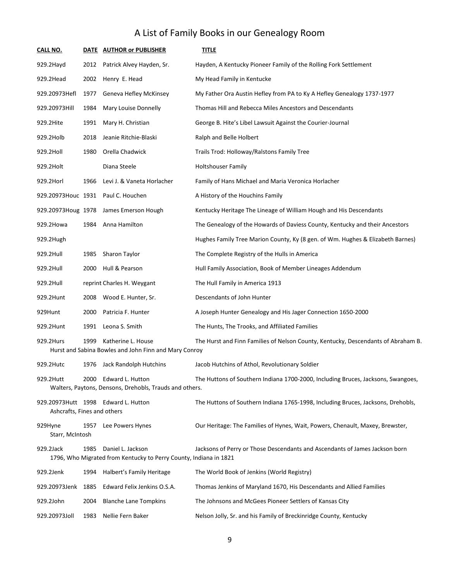| <b>CALL NO.</b>             |      | DATE AUTHOR or PUBLISHER                                                               | <b>TITLE</b>                                                                      |
|-----------------------------|------|----------------------------------------------------------------------------------------|-----------------------------------------------------------------------------------|
| 929.2Hayd                   | 2012 | Patrick Alvey Hayden, Sr.                                                              | Hayden, A Kentucky Pioneer Family of the Rolling Fork Settlement                  |
| 929.2Head                   | 2002 | Henry E. Head                                                                          | My Head Family in Kentucke                                                        |
| 929.20973Hefl               | 1977 | Geneva Hefley McKinsey                                                                 | My Father Ora Austin Hefley from PA to Ky A Hefley Genealogy 1737-1977            |
| 929.20973Hill               | 1984 | Mary Louise Donnelly                                                                   | Thomas Hill and Rebecca Miles Ancestors and Descendants                           |
| 929.2Hite                   | 1991 | Mary H. Christian                                                                      | George B. Hite's Libel Lawsuit Against the Courier-Journal                        |
| 929.2Holb                   | 2018 | Jeanie Ritchie-Blaski                                                                  | Ralph and Belle Holbert                                                           |
| 929.2Holl                   | 1980 | Orella Chadwick                                                                        | Trails Trod: Holloway/Ralstons Family Tree                                        |
| 929.2Holt                   |      | Diana Steele                                                                           | Holtshouser Family                                                                |
| 929.2Horl                   | 1966 | Levi J. & Vaneta Horlacher                                                             | Family of Hans Michael and Maria Veronica Horlacher                               |
|                             |      | 929.20973Houc 1931 Paul C. Houchen                                                     | A History of the Houchins Family                                                  |
| 929.20973Houg 1978          |      | James Emerson Hough                                                                    | Kentucky Heritage The Lineage of William Hough and His Descendants                |
| 929.2Howa                   | 1984 | Anna Hamilton                                                                          | The Genealogy of the Howards of Daviess County, Kentucky and their Ancestors      |
| 929.2Hugh                   |      |                                                                                        | Hughes Family Tree Marion County, Ky (8 gen. of Wm. Hughes & Elizabeth Barnes)    |
| 929.2Hull                   | 1985 | Sharon Taylor                                                                          | The Complete Registry of the Hulls in America                                     |
| 929.2Hull                   | 2000 | Hull & Pearson                                                                         | Hull Family Association, Book of Member Lineages Addendum                         |
| 929.2Hull                   |      | reprint Charles H. Weygant                                                             | The Hull Family in America 1913                                                   |
| 929.2Hunt                   | 2008 | Wood E. Hunter, Sr.                                                                    | Descendants of John Hunter                                                        |
| 929Hunt                     | 2000 | Patricia F. Hunter                                                                     | A Joseph Hunter Genealogy and His Jager Connection 1650-2000                      |
| 929.2Hunt                   | 1991 | Leona S. Smith                                                                         | The Hunts, The Trooks, and Affiliated Families                                    |
| 929.2Hurs                   | 1999 | Katherine L. House<br>Hurst and Sabina Bowles and John Finn and Mary Conroy            | The Hurst and Finn Families of Nelson County, Kentucky, Descendants of Abraham B. |
| 929.2Hutc                   |      | 1976 Jack Randolph Hutchins                                                            | Jacob Hutchins of Athol, Revolutionary Soldier                                    |
| 929.2Hutt                   |      | 2000 Edward L. Hutton<br>Walters, Paytons, Densons, Drehobls, Trauds and others.       | The Huttons of Southern Indiana 1700-2000, Including Bruces, Jacksons, Swangoes,  |
| Ashcrafts, Fines and others |      | 929.20973Hutt 1998 Edward L. Hutton                                                    | The Huttons of Southern Indiana 1765-1998, Including Bruces, Jacksons, Drehobls,  |
| 929Hyne<br>Starr, McIntosh  | 1957 | Lee Powers Hynes                                                                       | Our Heritage: The Families of Hynes, Wait, Powers, Chenault, Maxey, Brewster,     |
| 929.2Jack                   | 1985 | Daniel L. Jackson<br>1796, Who Migrated from Kentucky to Perry County, Indiana in 1821 | Jacksons of Perry or Those Descendants and Ascendants of James Jackson born       |
| 929.2Jenk                   | 1994 | Halbert's Family Heritage                                                              | The World Book of Jenkins (World Registry)                                        |
| 929.20973Jenk 1885          |      | Edward Felix Jenkins O.S.A.                                                            | Thomas Jenkins of Maryland 1670, His Descendants and Allied Families              |
| 929.2John                   | 2004 | <b>Blanche Lane Tompkins</b>                                                           | The Johnsons and McGees Pioneer Settlers of Kansas City                           |
| 929.20973Joll               | 1983 | Nellie Fern Baker                                                                      | Nelson Jolly, Sr. and his Family of Breckinridge County, Kentucky                 |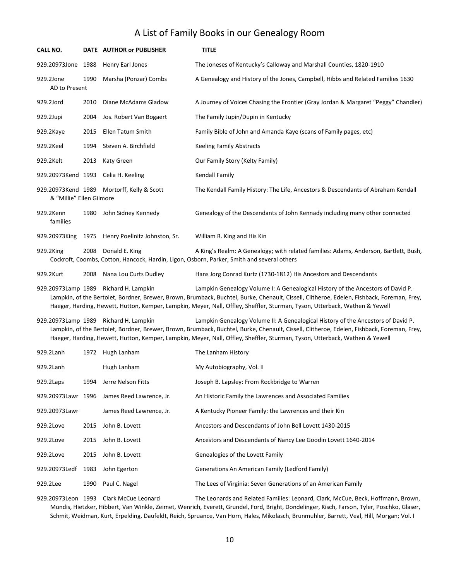| CALL NO.                   |      | DATE AUTHOR or PUBLISHER                   | <b>TITLE</b>                                                                                                                                                                                                                                                                                                                                                  |
|----------------------------|------|--------------------------------------------|---------------------------------------------------------------------------------------------------------------------------------------------------------------------------------------------------------------------------------------------------------------------------------------------------------------------------------------------------------------|
| 929.20973Jone              | 1988 | Henry Earl Jones                           | The Joneses of Kentucky's Calloway and Marshall Counties, 1820-1910                                                                                                                                                                                                                                                                                           |
| 929.2Jone<br>AD to Present | 1990 | Marsha (Ponzar) Combs                      | A Genealogy and History of the Jones, Campbell, Hibbs and Related Families 1630                                                                                                                                                                                                                                                                               |
| 929.2Jord                  | 2010 | Diane McAdams Gladow                       | A Journey of Voices Chasing the Frontier (Gray Jordan & Margaret "Peggy" Chandler)                                                                                                                                                                                                                                                                            |
| 929.2Jupi                  | 2004 | Jos. Robert Van Bogaert                    | The Family Jupin/Dupin in Kentucky                                                                                                                                                                                                                                                                                                                            |
| 929.2Kaye                  | 2015 | Ellen Tatum Smith                          | Family Bible of John and Amanda Kaye (scans of Family pages, etc)                                                                                                                                                                                                                                                                                             |
| 929.2Keel                  | 1994 | Steven A. Birchfield                       | <b>Keeling Family Abstracts</b>                                                                                                                                                                                                                                                                                                                               |
| 929.2Kelt                  | 2013 | Katy Green                                 | Our Family Story (Kelty Family)                                                                                                                                                                                                                                                                                                                               |
| 929.20973Kend 1993         |      | Celia H. Keeling                           | Kendall Family                                                                                                                                                                                                                                                                                                                                                |
| & "Millie" Ellen Gilmore   |      | 929.20973Kend 1989 Mortorff, Kelly & Scott | The Kendall Family History: The Life, Ancestors & Descendants of Abraham Kendall                                                                                                                                                                                                                                                                              |
| 929.2Kenn<br>families      | 1980 | John Sidney Kennedy                        | Genealogy of the Descendants of John Kennady including many other connected                                                                                                                                                                                                                                                                                   |
| 929.20973King              | 1975 | Henry Poellnitz Johnston, Sr.              | William R. King and His Kin                                                                                                                                                                                                                                                                                                                                   |
| 929.2King                  | 2008 | Donald E. King                             | A King's Realm: A Genealogy; with related families: Adams, Anderson, Bartlett, Bush,<br>Cockroft, Coombs, Cotton, Hancock, Hardin, Ligon, Osborn, Parker, Smith and several others                                                                                                                                                                            |
| 929.2Kurt                  | 2008 | Nana Lou Curts Dudley                      | Hans Jorg Conrad Kurtz (1730-1812) His Ancestors and Descendants                                                                                                                                                                                                                                                                                              |
| 929.20973Lamp 1989         |      | Richard H. Lampkin                         | Lampkin Genealogy Volume I: A Genealogical History of the Ancestors of David P.<br>Lampkin, of the Bertolet, Bordner, Brewer, Brown, Brumback, Buchtel, Burke, Chenault, Cissell, Clitheroe, Edelen, Fishback, Foreman, Frey,<br>Haeger, Harding, Hewett, Hutton, Kemper, Lampkin, Meyer, Nall, Offley, Sheffler, Sturman, Tyson, Utterback, Wathen & Yewell  |
|                            |      | 929.20973Lamp 1989 Richard H. Lampkin      | Lampkin Genealogy Volume II: A Genealogical History of the Ancestors of David P.<br>Lampkin, of the Bertolet, Bordner, Brewer, Brown, Brumback, Buchtel, Burke, Chenault, Cissell, Clitheroe, Edelen, Fishback, Foreman, Frey,<br>Haeger, Harding, Hewett, Hutton, Kemper, Lampkin, Meyer, Nall, Offley, Sheffler, Sturman, Tyson, Utterback, Wathen & Yewell |
| 929.2Lanh                  | 1972 | Hugh Lanham                                | The Lanham History                                                                                                                                                                                                                                                                                                                                            |
| 929.2Lanh                  |      | Hugh Lanham                                | My Autobiography, Vol. II                                                                                                                                                                                                                                                                                                                                     |
| 929.2Laps                  | 1994 | Jerre Nelson Fitts                         | Joseph B. Lapsley: From Rockbridge to Warren                                                                                                                                                                                                                                                                                                                  |
| 929.20973Lawr 1996         |      | James Reed Lawrence, Jr.                   | An Historic Family the Lawrences and Associated Families                                                                                                                                                                                                                                                                                                      |
| 929.20973Lawr              |      | James Reed Lawrence, Jr.                   | A Kentucky Pioneer Family: the Lawrences and their Kin                                                                                                                                                                                                                                                                                                        |
| 929.2Love                  | 2015 | John B. Lovett                             | Ancestors and Descendants of John Bell Lovett 1430-2015                                                                                                                                                                                                                                                                                                       |
| 929.2Love                  | 2015 | John B. Lovett                             | Ancestors and Descendants of Nancy Lee Goodin Lovett 1640-2014                                                                                                                                                                                                                                                                                                |
| 929.2Love                  | 2015 | John B. Lovett                             | Genealogies of the Lovett Family                                                                                                                                                                                                                                                                                                                              |
| 929.20973Ledf              | 1983 | John Egerton                               | Generations An American Family (Ledford Family)                                                                                                                                                                                                                                                                                                               |
| 929.2Lee                   | 1990 | Paul C. Nagel                              | The Lees of Virginia: Seven Generations of an American Family                                                                                                                                                                                                                                                                                                 |

929.20973Leon 1993 Clark McCue Leonard The Leonards and Related Families: Leonard, Clark, McCue, Beck, Hoffmann, Brown, Mundis, Hietzker, Hibbert, Van Winkle, Zeimet, Wenrich, Everett, Grundel, Ford, Bright, Dondelinger, Kisch, Farson, Tyler, Poschko, Glaser, Schmit, Weidman, Kurt, Erpelding, Daufeldt, Reich, Spruance, Van Horn, Hales, Mikolasch, Brunmuhler, Barrett, Veal, Hill, Morgan; Vol. I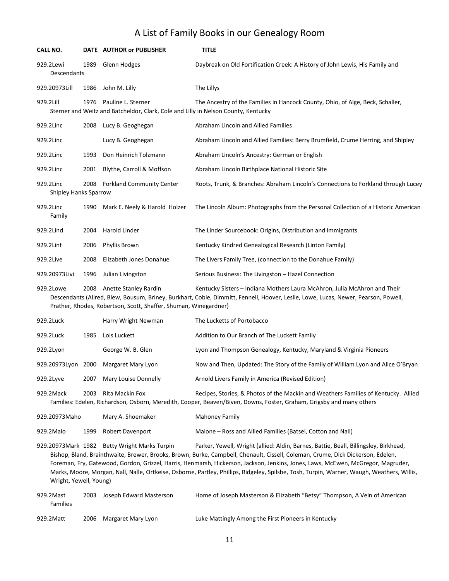| CALL NO.            |                       | <b>DATE</b> | <b>AUTHOR or PUBLISHER</b>                                                                               | <b>TITLE</b>                                                                                                                                                                                                    |
|---------------------|-----------------------|-------------|----------------------------------------------------------------------------------------------------------|-----------------------------------------------------------------------------------------------------------------------------------------------------------------------------------------------------------------|
| 929.2Lewi           | <b>Descendants</b>    | 1989        | Glenn Hodges                                                                                             | Daybreak on Old Fortification Creek: A History of John Lewis, His Family and                                                                                                                                    |
| 929.20973Lill       |                       | 1986        | John M. Lilly                                                                                            | The Lillys                                                                                                                                                                                                      |
| 929.2Lill           |                       | 1976        | Pauline L. Sterner<br>Sterner and Weitz and Batcheldor, Clark, Cole and Lilly in Nelson County, Kentucky | The Ancestry of the Families in Hancock County, Ohio, of Alge, Beck, Schaller,                                                                                                                                  |
| 929.2Linc           |                       | 2008        | Lucy B. Geoghegan                                                                                        | Abraham Lincoln and Allied Families                                                                                                                                                                             |
| 929.2Linc           |                       |             | Lucy B. Geoghegan                                                                                        | Abraham Lincoln and Allied Families: Berry Brumfield, Crume Herring, and Shipley                                                                                                                                |
| 929.2Linc           |                       | 1993        | Don Heinrich Tolzmann                                                                                    | Abraham Lincoln's Ancestry: German or English                                                                                                                                                                   |
| 929.2Linc           |                       | 2001        | Blythe, Carroll & Moffson                                                                                | Abraham Lincoln Birthplace National Historic Site                                                                                                                                                               |
| 929.2Linc           | Shipley Hanks Sparrow | 2008        | <b>Forkland Community Center</b>                                                                         | Roots, Trunk, & Branches: Abraham Lincoln's Connections to Forkland through Lucey                                                                                                                               |
| 929.2Linc<br>Family |                       | 1990        | Mark E. Neely & Harold Holzer                                                                            | The Lincoln Album: Photographs from the Personal Collection of a Historic American                                                                                                                              |
| 929.2Lind           |                       | 2004        | Harold Linder                                                                                            | The Linder Sourcebook: Origins, Distribution and Immigrants                                                                                                                                                     |
| 929.2Lint           |                       | 2006        | Phyllis Brown                                                                                            | Kentucky Kindred Genealogical Research (Linton Family)                                                                                                                                                          |
| 929.2Live           |                       | 2008        | Elizabeth Jones Donahue                                                                                  | The Livers Family Tree, (connection to the Donahue Family)                                                                                                                                                      |
| 929.20973Livi       |                       | 1996        | Julian Livingston                                                                                        | Serious Business: The Livingston - Hazel Connection                                                                                                                                                             |
| 929.2Lowe           |                       | 2008        | Anette Stanley Rardin<br>Prather, Rhodes, Robertson, Scott, Shaffer, Shuman, Winegardner)                | Kentucky Sisters - Indiana Mothers Laura McAhron, Julia McAhron and Their<br>Descendants (Allred, Blew, Bousum, Briney, Burkhart, Coble, Dimmitt, Fennell, Hoover, Leslie, Lowe, Lucas, Newer, Pearson, Powell, |
| 929.2Luck           |                       |             | Harry Wright Newman                                                                                      | The Lucketts of Portobacco                                                                                                                                                                                      |

| ---------          |      | $1.19111$ $1.1151101110111$ |                                                                                    |
|--------------------|------|-----------------------------|------------------------------------------------------------------------------------|
| 929.2Luck          | 1985 | Lois Luckett                | Addition to Our Branch of The Luckett Family                                       |
| 929.2Lyon          |      | George W. B. Glen           | Lyon and Thompson Genealogy, Kentucky, Maryland & Virginia Pioneers                |
| 929.20973Lyon 2000 |      | Margaret Mary Lyon          | Now and Then, Updated: The Story of the Family of William Lyon and Alice O'Bryan   |
| 929.2Lyve          | 2007 | Mary Louise Donnelly        | Arnold Livers Family in America (Revised Edition)                                  |
| 929.2Mack          | 2003 | Rita Mackin Fox             | Recipes, Stories, & Photos of the Mackin and Weathers Families of Kentucky. Allied |

Families: Edelen, Richardson, Osborn, Meredith, Cooper, Beaven/Biven, Downs, Foster, Graham, Grigsby and many others

| 929.20973Maho |      | Mary A. Shoemaker | Mahoney Family                                              |  |
|---------------|------|-------------------|-------------------------------------------------------------|--|
| 929.2Malo     | 1999 | Robert Davenport  | Malone – Ross and Allied Families (Batsel, Cotton and Nall) |  |

929.20973Mark 1982 Betty Wright Marks Turpin Parker, Yewell, Wright (allied: Aldin, Barnes, Battie, Beall, Billingsley, Birkhead, Bishop, Bland, Brainthwaite, Brewer, Brooks, Brown, Burke, Campbell, Chenault, Cissell, Coleman, Crume, Dick Dickerson, Edelen, Foreman, Fry, Gatewood, Gordon, Grizzel, Harris, Henmarsh, Hickerson, Jackson, Jenkins, Jones, Laws, McEwen, McGregor, Magruder, Marks, Moore, Morgan, Nall, Nalle, Ortkeise, Osborne, Partley, Phillips, Ridgeley, Spilsbe, Tosh, Turpin, Warner, Waugh, Weathers, Willis, Wright, Yewell, Young)

| 929.2Mast       | 2003 | Joseph Edward Masterson | Home of Joseph Masterson & Elizabeth "Betsy" Thompson, A Vein of American |
|-----------------|------|-------------------------|---------------------------------------------------------------------------|
| <b>Families</b> |      |                         |                                                                           |
| 929.2Matt       |      | 2006 Margaret Mary Lyon | Luke Mattingly Among the First Pioneers in Kentucky                       |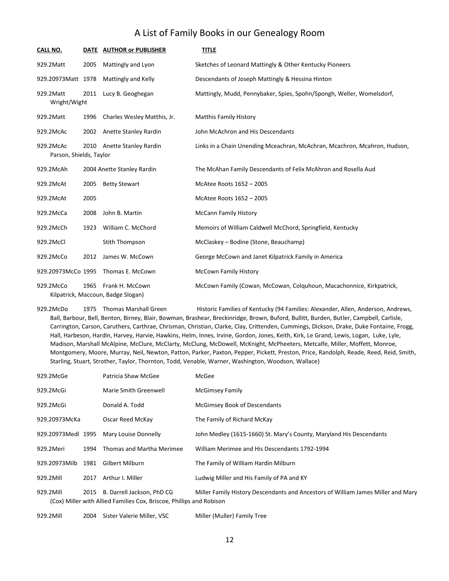| CALL NO.                             |      | DATE AUTHOR or PUBLISHER                              | <b>TITLE</b>                                                              |
|--------------------------------------|------|-------------------------------------------------------|---------------------------------------------------------------------------|
| 929.2Matt                            | 2005 | Mattingly and Lyon                                    | Sketches of Leonard Mattingly & Other Kentucky Pioneers                   |
| 929.20973Matt 1978                   |      | Mattingly and Kelly                                   | Descendants of Joseph Mattingly & Hessina Hinton                          |
| 929.2Matt<br>Wright/Wight            | 2011 | Lucy B. Geoghegan                                     | Mattingly, Mudd, Pennybaker, Spies, Spohn/Spongh, Weller, Womelsdorf,     |
| 929.2Matt                            | 1996 | Charles Wesley Matthis, Jr.                           | <b>Matthis Family History</b>                                             |
| 929.2McAc                            | 2002 | Anette Stanley Rardin                                 | John McAchron and His Descendants                                         |
| 929.2McAc<br>Parson, Shields, Taylor | 2010 | Anette Stanley Rardin                                 | Links in a Chain Unending Mceachran, McAchran, Mcachron, Mcahron, Hudson, |
| 929.2McAh                            |      | 2004 Anette Stanley Rardin                            | The McAhan Family Descendants of Felix McAhron and Rosella Aud            |
| 929.2McAt                            | 2005 | <b>Betty Stewart</b>                                  | McAtee Roots 1652 - 2005                                                  |
| 929.2McAt                            | 2005 |                                                       | McAtee Roots 1652 - 2005                                                  |
| 929.2McCa                            | 2008 | John B. Martin                                        | <b>McCann Family History</b>                                              |
| 929.2McCh                            | 1923 | William C. McChord                                    | Memoirs of William Caldwell McChord, Springfield, Kentucky                |
| 929.2McCl                            |      | Stith Thompson                                        | McClaskey - Bodine (Stone, Beauchamp)                                     |
| 929.2McCo                            | 2012 | James W. McCown                                       | George McCown and Janet Kilpatrick Family in America                      |
| 929.20973McCo 1995                   |      | Thomas E. McCown                                      | <b>McCown Family History</b>                                              |
| 929.2McCo                            | 1965 | Frank H. McCown<br>Kilpatrick, Maccoun, Badge Slogan) | McCown Family (Cowan, McCowan, Colquhoun, Macachonnice, Kirkpatrick,      |

929.2McDo 1975 Thomas Marshall Green Historic Families of Kentucky (94 Families: Alexander, Allen, Anderson, Andrews, Ball, Barbour, Bell, Benton, Birney, Blair, Bowman, Brashear, Breckinridge, Brown, Buford, Bullitt, Burden, Butler, Campbell, Carlisle, Carrington, Carson, Caruthers, Carthrae, Chrisman, Christian, Clarke, Clay, Crittenden, Cummings, Dickson, Drake, Duke Fontaine, Frogg, Hall, Harbeson, Hardin, Harvey, Harvie, Hawkins, Helm, Innes, Irvine, Gordon, Jones, Keith, Kirk, Le Grand, Lewis, Logan, Luke, Lyle, Madison, Marshall McAlpine, McClure, McClarty, McClung, McDowell, McKnight, McPheeters, Metcalfe, Miller, Moffett, Monroe, Montgomery, Moore, Murray, Neil, Newton, Patton, Parker, Paxton, Pepper, Pickett, Preston, Price, Randolph, Reade, Reed, Reid, Smith, Starling, Stuart, Strother, Taylor, Thornton, Todd, Venable, Warner, Washington, Woodson, Wallace)

| 929.2McGe          |      | Patricia Shaw McGee                                                                                | McGee                                                                            |
|--------------------|------|----------------------------------------------------------------------------------------------------|----------------------------------------------------------------------------------|
| 929.2McGi          |      | Marie Smith Greenwell                                                                              | <b>McGimsey Family</b>                                                           |
| 929.2McGi          |      | Donald A. Todd                                                                                     | <b>McGimsey Book of Descendants</b>                                              |
| 929.20973McKa      |      | Oscar Reed McKay                                                                                   | The Family of Richard McKay                                                      |
| 929.20973Medl 1995 |      | Mary Louise Donnelly                                                                               | John Medley (1615-1660) St. Mary's County, Maryland His Descendants              |
| 929.2Meri          | 1994 | Thomas and Martha Merimee                                                                          | William Merimee and His Descendants 1792-1994                                    |
| 929.20973Milb      | 1981 | Gilbert Milburn                                                                                    | The Family of William Hardin Milburn                                             |
| 929.2Mill          | 2017 | Arthur I. Miller                                                                                   | Ludwig Miller and His Family of PA and KY                                        |
| 929.2Mill          | 2015 | B. Darrell Jackson, PhD CG<br>(Cox) Miller with Allied Families Cox, Briscoe, Phillips and Robison | Miller Family History Descendants and Ancestors of William James Miller and Mary |

929.2Mill 2004 Sister Valerie Miller, VSC Miller (Muller) Family Tree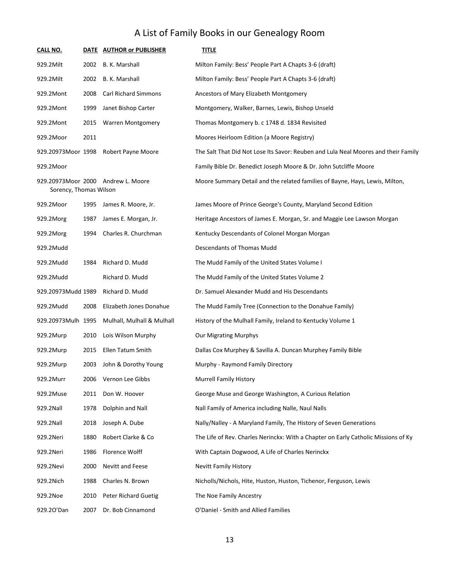| <u>CALL NO.</u>        |      | DATE AUTHOR or PUBLISHER           | <b>TITLE</b>                                                                       |
|------------------------|------|------------------------------------|------------------------------------------------------------------------------------|
| 929.2Milt              | 2002 | B. K. Marshall                     | Milton Family: Bess' People Part A Chapts 3-6 (draft)                              |
| 929.2Milt              | 2002 | B. K. Marshall                     | Milton Family: Bess' People Part A Chapts 3-6 (draft)                              |
| 929.2Mont              | 2008 | <b>Carl Richard Simmons</b>        | Ancestors of Mary Elizabeth Montgomery                                             |
| 929.2Mont              | 1999 | Janet Bishop Carter                | Montgomery, Walker, Barnes, Lewis, Bishop Unseld                                   |
| 929.2Mont              | 2015 | <b>Warren Montgomery</b>           | Thomas Montgomery b. c 1748 d. 1834 Revisited                                      |
| 929.2Moor              | 2011 |                                    | Moores Heirloom Edition (a Moore Registry)                                         |
| 929.20973Moor 1998     |      | <b>Robert Payne Moore</b>          | The Salt That Did Not Lose Its Savor: Reuben and Lula Neal Moores and their Family |
| 929.2Moor              |      |                                    | Family Bible Dr. Benedict Joseph Moore & Dr. John Sutcliffe Moore                  |
| Sorency, Thomas Wilson |      | 929.20973Moor 2000 Andrew L. Moore | Moore Summary Detail and the related families of Bayne, Hays, Lewis, Milton,       |
| 929.2Moor              | 1995 | James R. Moore, Jr.                | James Moore of Prince George's County, Maryland Second Edition                     |
| 929.2Morg              | 1987 | James E. Morgan, Jr.               | Heritage Ancestors of James E. Morgan, Sr. and Maggie Lee Lawson Morgan            |
| 929.2Morg              | 1994 | Charles R. Churchman               | Kentucky Descendants of Colonel Morgan Morgan                                      |
| 929.2Mudd              |      |                                    | Descendants of Thomas Mudd                                                         |
| 929.2Mudd              | 1984 | Richard D. Mudd                    | The Mudd Family of the United States Volume I                                      |
| 929.2Mudd              |      | Richard D. Mudd                    | The Mudd Family of the United States Volume 2                                      |
| 929.20973Mudd 1989     |      | Richard D. Mudd                    | Dr. Samuel Alexander Mudd and His Descendants                                      |
| 929.2Mudd              | 2008 | Elizabeth Jones Donahue            | The Mudd Family Tree (Connection to the Donahue Family)                            |
| 929.20973Mulh 1995     |      | Mulhall, Mulhall & Mulhall         | History of the Mulhall Family, Ireland to Kentucky Volume 1                        |
| 929.2Murp              | 2010 | Lois Wilson Murphy                 | <b>Our Migrating Murphys</b>                                                       |
| 929.2Murp              | 2015 | Ellen Tatum Smith                  | Dallas Cox Murphey & Savilla A. Duncan Murphey Family Bible                        |
| 929.2Murp              | 2003 | John & Dorothy Young               | Murphy - Raymond Family Directory                                                  |
| 929.2Murr              | 2006 | Vernon Lee Gibbs                   | <b>Murrell Family History</b>                                                      |
| 929.2Muse              | 2011 | Don W. Hoover                      | George Muse and George Washington, A Curious Relation                              |
| 929.2Nall              | 1978 | Dolphin and Nall                   | Nall Family of America including Nalle, Naul Nalls                                 |
| 929.2Nall              | 2018 | Joseph A. Dube                     | Nally/Nalley - A Maryland Family, The History of Seven Generations                 |
| 929.2Neri              | 1880 | Robert Clarke & Co                 | The Life of Rev. Charles Nerinckx: With a Chapter on Early Catholic Missions of Ky |
| 929.2Neri              | 1986 | Florence Wolff                     | With Captain Dogwood, A Life of Charles Nerinckx                                   |
| 929.2Nevi              | 2000 | Nevitt and Feese                   | <b>Nevitt Family History</b>                                                       |
| 929.2Nich              | 1988 | Charles N. Brown                   | Nicholls/Nichols, Hite, Huston, Huston, Tichenor, Ferguson, Lewis                  |
| 929.2Noe               | 2010 | <b>Peter Richard Guetig</b>        | The Noe Family Ancestry                                                            |
| 929.20'Dan             | 2007 | Dr. Bob Cinnamond                  | O'Daniel - Smith and Allied Families                                               |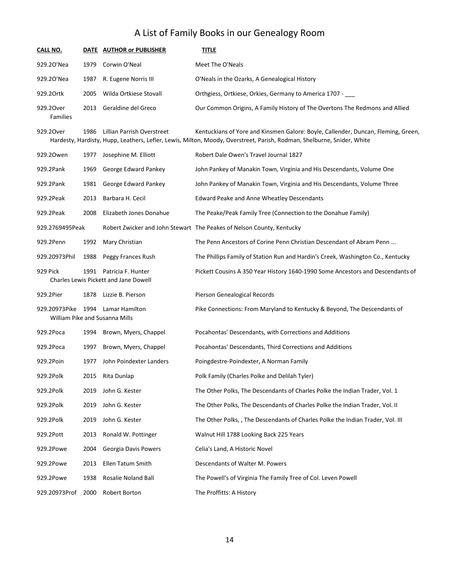| <b>CALL NO.</b>              |      | DATE AUTHOR or PUBLISHER                                         | <b>TITLE</b>                                                                                                                                                                                                |
|------------------------------|------|------------------------------------------------------------------|-------------------------------------------------------------------------------------------------------------------------------------------------------------------------------------------------------------|
| 929.20'Nea                   | 1979 | Corwin O'Neal                                                    | Meet The O'Neals                                                                                                                                                                                            |
| 929.20'Nea                   | 1987 | R. Eugene Norris III                                             | O'Neals in the Ozarks, A Genealogical History                                                                                                                                                               |
| 929.20rtk                    | 2005 | Wilda Ortkiese Stovall                                           | Orthgiess, Ortkiese, Orkies, Germany to America 1707 -                                                                                                                                                      |
| 929.20ver<br><b>Families</b> | 2013 | Geraldine del Greco                                              | Our Common Origins, A Family History of The Overtons The Redmons and Allied                                                                                                                                 |
| 929.20ver                    | 1986 | <b>Lillian Parrish Overstreet</b>                                | Kentuckians of Yore and Kinsmen Galore: Boyle, Callender, Duncan, Fleming, Green,<br>Hardesty, Hardisty, Hupp, Leathers, Lefler, Lewis, Milton, Moody, Overstreet, Parish, Rodman, Shelburne, Snider, White |
| 929.20wen                    | 1977 | Josephine M. Elliott                                             | Robert Dale Owen's Travel Journal 1827                                                                                                                                                                      |
| 929.2Pank                    | 1969 | George Edward Pankey                                             | John Pankey of Manakin Town, Virginia and His Descendants, Volume One                                                                                                                                       |
| 929.2Pank                    | 1981 | George Edward Pankey                                             | John Pankey of Manakin Town, Virginia and His Descendants, Volume Three                                                                                                                                     |
| 929.2Peak                    | 2013 | Barbara H. Cecil                                                 | Edward Peake and Anne Wheatley Descendants                                                                                                                                                                  |
| 929.2Peak                    | 2008 | Elizabeth Jones Donahue                                          | The Peake/Peak Family Tree (Connection to the Donahue Family)                                                                                                                                               |
| 929.2769495Peak              |      |                                                                  | Robert Zwicker and John Stewart The Peakes of Nelson County, Kentucky                                                                                                                                       |
| 929.2Penn                    | 1992 | Mary Christian                                                   | The Penn Ancestors of Corine Penn Christian Descendant of Abram Penn                                                                                                                                        |
| 929.20973Phil                | 1988 | Peggy Frances Rush                                               | The Phillips Family of Station Run and Hardin's Creek, Washington Co., Kentucky                                                                                                                             |
| 929 Pick                     |      | 1991 Patricia F. Hunter<br>Charles Lewis Pickett and Jane Dowell | Pickett Cousins A 350 Year History 1640-1990 Some Ancestors and Descendants of                                                                                                                              |
| 929.2Pier                    | 1878 | Lizzie B. Pierson                                                | Pierson Genealogical Records                                                                                                                                                                                |
| 929.20973Pike                | 1994 | Lamar Hamilton<br>William Pike and Susanna Mills                 | Pike Connections: From Maryland to Kentucky & Beyond, The Descendants of                                                                                                                                    |
| 929.2Poca                    | 1994 | Brown, Myers, Chappel                                            | Pocahontas' Descendants, with Corrections and Additions                                                                                                                                                     |
| 929.2Poca                    | 1997 | Brown, Myers, Chappel                                            | Pocahontas' Descendants, Third Corrections and Additions                                                                                                                                                    |
| 929.2Poin                    | 1977 | John Poindexter Landers                                          | Poingdestre-Poindexter, A Norman Family                                                                                                                                                                     |
| 929.2Polk                    | 2015 | Rita Dunlap                                                      | Polk Family (Charles Polke and Delilah Tyler)                                                                                                                                                               |
| 929.2Polk                    | 2019 | John G. Kester                                                   | The Other Polks, The Descendants of Charles Polke the Indian Trader, Vol. 1                                                                                                                                 |
| 929.2Polk                    | 2019 | John G. Kester                                                   | The Other Polks, The Descendants of Charles Polke the Indian Trader, Vol. II                                                                                                                                |
| 929.2Polk                    | 2019 | John G. Kester                                                   | The Other Polks, , The Descendants of Charles Polke the Indian Trader, Vol. III                                                                                                                             |
| 929.2Pott                    | 2013 | Ronald W. Pottinger                                              | Walnut Hill 1788 Looking Back 225 Years                                                                                                                                                                     |
| 929.2Powe                    | 2004 | Georgia Davis Powers                                             | Celia's Land, A Historic Novel                                                                                                                                                                              |
| 929.2Powe                    | 2013 | Ellen Tatum Smith                                                | Descendants of Walter M. Powers                                                                                                                                                                             |
| 929.2Powe                    | 1938 | Rosalie Noland Ball                                              | The Powell's of Virginia The Family Tree of Col. Leven Powell                                                                                                                                               |
| 929.20973Prof                | 2000 | Robert Borton                                                    | The Proffitts: A History                                                                                                                                                                                    |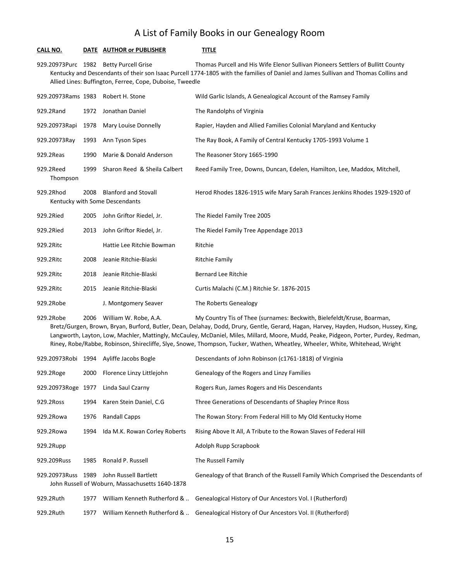#### **CALL NO. DATE AUTHOR or PUBLISHER TITLE**

929.20973Purc 1982 Betty Purcell Grise Thomas Purcell and His Wife Elenor Sullivan Pioneers Settlers of Bullitt County Kentucky and Descendants of their son Isaac Purcell 1774-1805 with the families of Daniel and James Sullivan and Thomas Collins and Allied Lines: Buffington, Ferree, Cope, Duboise, Tweedle

| 929.20973Rams 1983    |      | Robert H. Stone                                               | Wild Garlic Islands, A Genealogical Account of the Ramsey Family           |
|-----------------------|------|---------------------------------------------------------------|----------------------------------------------------------------------------|
| 929.2Rand             | 1972 | Jonathan Daniel                                               | The Randolphs of Virginia                                                  |
| 929.20973Rapi         | 1978 | Mary Louise Donnelly                                          | Rapier, Hayden and Allied Families Colonial Maryland and Kentucky          |
| 929.20973Ray          | 1993 | Ann Tyson Sipes                                               | The Ray Book, A Family of Central Kentucky 1705-1993 Volume 1              |
| 929.2Reas             | 1990 | Marie & Donald Anderson                                       | The Reasoner Story 1665-1990                                               |
| 929.2Reed<br>Thompson | 1999 | Sharon Reed & Sheila Calbert                                  | Reed Family Tree, Downs, Duncan, Edelen, Hamilton, Lee, Maddox, Mitchell,  |
| 929.2Rhod             | 2008 | <b>Blanford and Stovall</b><br>Kentucky with Some Descendants | Herod Rhodes 1826-1915 wife Mary Sarah Frances Jenkins Rhodes 1929-1920 of |
| 929.2Ried             | 2005 | John Griftor Riedel, Jr.                                      | The Riedel Family Tree 2005                                                |
| 929.2Ried             | 2013 | John Griftor Riedel, Jr.                                      | The Riedel Family Tree Appendage 2013                                      |
| 929.2Ritc             |      | Hattie Lee Ritchie Bowman                                     | Ritchie                                                                    |
| 929.2Ritc             | 2008 | Jeanie Ritchie-Blaski                                         | Ritchie Family                                                             |
| 929.2Ritc             | 2018 | Jeanie Ritchie-Blaski                                         | <b>Bernard Lee Ritchie</b>                                                 |
| 929.2Ritc             | 2015 | Jeanie Ritchie-Blaski                                         | Curtis Malachi (C.M.) Ritchie Sr. 1876-2015                                |
| 929.2Robe             |      | J. Montgomery Seaver                                          | The Roberts Genealogy                                                      |

929.2Robe 2006 William W. Robe, A.A. My Country Tis of Thee (surnames: Beckwith, Bielefeldt/Kruse, Boarman, Bretz/Gurgen, Brown, Bryan, Burford, Butler, Dean, Delahay, Dodd, Drury, Gentle, Gerard, Hagan, Harvey, Hayden, Hudson, Hussey, King, Langworth, Layton, Low, Machler, Mattingly, McCauley, McDaniel, Miles, Millard, Moore, Mudd, Peake, Pidgeon, Porter, Purdey, Redman, Riney, Robe/Rabbe, Robinson, Shirecliffe, Slye, Snowe, Thompson, Tucker, Wathen, Wheatley, Wheeler, White, Whitehead, Wright

|                    |      | 929.20973Robi 1994 Ayliffe Jacobs Bogle                                  | Descendants of John Robinson (c1761-1818) of Virginia                                    |
|--------------------|------|--------------------------------------------------------------------------|------------------------------------------------------------------------------------------|
| 929.2Roge          | 2000 | Florence Linzy Littlejohn                                                | Genealogy of the Rogers and Linzy Families                                               |
| 929.20973Roge 1977 |      | Linda Saul Czarny                                                        | Rogers Run, James Rogers and His Descendants                                             |
| 929.2Ross          | 1994 | Karen Stein Daniel, C.G.                                                 | Three Generations of Descendants of Shapley Prince Ross                                  |
| 929.2Rowa          | 1976 | <b>Randall Capps</b>                                                     | The Rowan Story: From Federal Hill to My Old Kentucky Home                               |
| 929.2Rowa          | 1994 | Ida M.K. Rowan Corley Roberts                                            | Rising Above It All, A Tribute to the Rowan Slaves of Federal Hill                       |
| 929.2Rupp          |      |                                                                          | Adolph Rupp Scrapbook                                                                    |
| 929.209Russ        | 1985 | Ronald P. Russell                                                        | The Russell Family                                                                       |
| 929.20973Russ      | 1989 | John Russell Bartlett<br>John Russell of Woburn, Massachusetts 1640-1878 | Genealogy of that Branch of the Russell Family Which Comprised the Descendants of        |
| 929.2Ruth          | 1977 | William Kenneth Rutherford &                                             | Genealogical History of Our Ancestors Vol. I (Rutherford)                                |
| 929.2Ruth          | 1977 |                                                                          | William Kenneth Rutherford &  Genealogical History of Our Ancestors Vol. II (Rutherford) |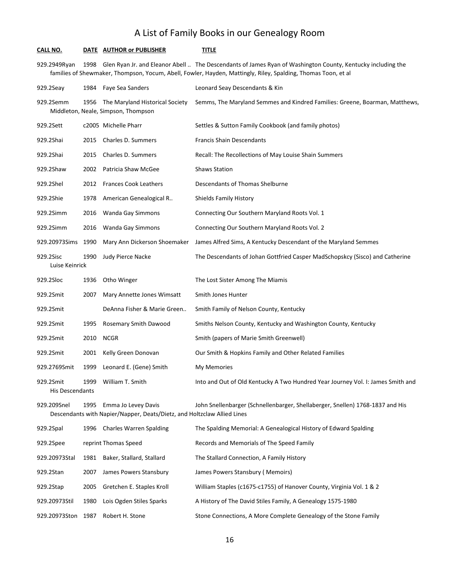| CALL NO.                            |      | DATE AUTHOR or PUBLISHER                                                                       | title                                                                                                                                                                                                                        |
|-------------------------------------|------|------------------------------------------------------------------------------------------------|------------------------------------------------------------------------------------------------------------------------------------------------------------------------------------------------------------------------------|
| 929.2949Ryan                        | 1998 |                                                                                                | Glen Ryan Jr. and Eleanor Abell  The Descendants of James Ryan of Washington County, Kentucky including the<br>families of Shewmaker, Thompson, Yocum, Abell, Fowler, Hayden, Mattingly, Riley, Spalding, Thomas Toon, et al |
| 929.2Seay                           | 1984 | Faye Sea Sanders                                                                               | Leonard Seay Descendants & Kin                                                                                                                                                                                               |
| 929.2Semm                           | 1956 | The Maryland Historical Society<br>Middleton, Neale, Simpson, Thompson                         | Semms, The Maryland Semmes and Kindred Families: Greene, Boarman, Matthews,                                                                                                                                                  |
| 929.2Sett                           |      | c2005 Michelle Pharr                                                                           | Settles & Sutton Family Cookbook (and family photos)                                                                                                                                                                         |
| 929.2Shai                           | 2015 | Charles D. Summers                                                                             | <b>Francis Shain Descendants</b>                                                                                                                                                                                             |
| 929.2Shai                           | 2015 | Charles D. Summers                                                                             | Recall: The Recollections of May Louise Shain Summers                                                                                                                                                                        |
| 929.2Shaw                           | 2002 | Patricia Shaw McGee                                                                            | <b>Shaws Station</b>                                                                                                                                                                                                         |
| 929.2Shel                           | 2012 | <b>Frances Cook Leathers</b>                                                                   | Descendants of Thomas Shelburne                                                                                                                                                                                              |
| 929.2Shie                           | 1978 | American Genealogical R                                                                        | <b>Shields Family History</b>                                                                                                                                                                                                |
| 929.2Simm                           | 2016 | Wanda Gay Simmons                                                                              | Connecting Our Southern Maryland Roots Vol. 1                                                                                                                                                                                |
| 929.2Simm                           | 2016 | Wanda Gay Simmons                                                                              | Connecting Our Southern Maryland Roots Vol. 2                                                                                                                                                                                |
| 929.20973Sims 1990                  |      | Mary Ann Dickerson Shoemaker                                                                   | James Alfred Sims, A Kentucky Descendant of the Maryland Semmes                                                                                                                                                              |
| 929.2Sisc<br>Luise Keinrick         | 1990 | Judy Pierce Nacke                                                                              | The Descendants of Johan Gottfried Casper MadSchopskcy (Sisco) and Catherine                                                                                                                                                 |
| 929.2Sloc                           | 1936 | Otho Winger                                                                                    | The Lost Sister Among The Miamis                                                                                                                                                                                             |
| 929.2Smit                           | 2007 | Mary Annette Jones Wimsatt                                                                     | Smith Jones Hunter                                                                                                                                                                                                           |
| 929.2Smit                           |      | DeAnna Fisher & Marie Green                                                                    | Smith Family of Nelson County, Kentucky                                                                                                                                                                                      |
| 929.2Smit                           | 1995 | Rosemary Smith Dawood                                                                          | Smiths Nelson County, Kentucky and Washington County, Kentucky                                                                                                                                                               |
| 929.2Smit                           | 2010 | <b>NCGR</b>                                                                                    | Smith (papers of Marie Smith Greenwell)                                                                                                                                                                                      |
| 929.2Smit                           | 2001 | Kelly Green Donovan                                                                            | Our Smith & Hopkins Family and Other Related Families                                                                                                                                                                        |
| 929.2769Smit                        | 1999 | Leonard E. (Gene) Smith                                                                        | My Memories                                                                                                                                                                                                                  |
| 929.2Smit<br><b>His Descendants</b> | 1999 | William T. Smith                                                                               | Into and Out of Old Kentucky A Two Hundred Year Journey Vol. I: James Smith and                                                                                                                                              |
| 929.209Snel                         | 1995 | Emma Jo Levey Davis<br>Descendants with Napier/Napper, Deats/Dietz, and Holtzclaw Allied Lines | John Snellenbarger (Schnellenbarger, Shellaberger, Snellen) 1768-1837 and His                                                                                                                                                |
| 929.2Spal                           | 1996 | <b>Charles Warren Spalding</b>                                                                 | The Spalding Memorial: A Genealogical History of Edward Spalding                                                                                                                                                             |
| 929.2Spee                           |      | reprint Thomas Speed                                                                           | Records and Memorials of The Speed Family                                                                                                                                                                                    |
| 929.20973Stal                       | 1981 | Baker, Stallard, Stallard                                                                      | The Stallard Connection, A Family History                                                                                                                                                                                    |
| 929.2Stan                           | 2007 | James Powers Stansbury                                                                         | James Powers Stansbury (Memoirs)                                                                                                                                                                                             |
| 929.2Stap                           | 2005 | Gretchen E. Staples Kroll                                                                      | William Staples (c1675-c1755) of Hanover County, Virginia Vol. 1 & 2                                                                                                                                                         |
| 929.20973Stil                       | 1980 | Lois Ogden Stiles Sparks                                                                       | A History of The David Stiles Family, A Genealogy 1575-1980                                                                                                                                                                  |
| 929.20973Ston                       | 1987 | Robert H. Stone                                                                                | Stone Connections, A More Complete Genealogy of the Stone Family                                                                                                                                                             |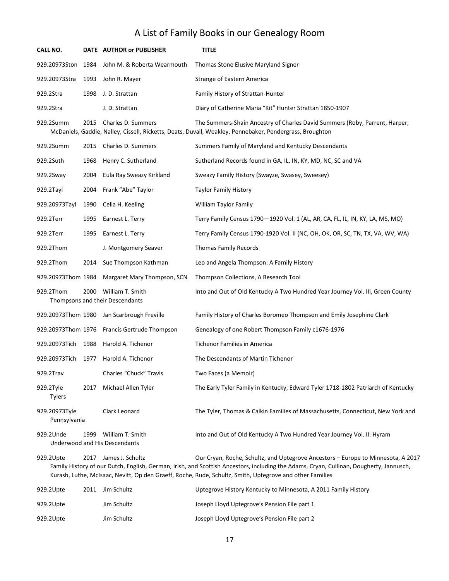| <b>CALL NO.</b>               |      | DATE AUTHOR or PUBLISHER                            | <b>TITLE</b>                                                                                                                                                                                                                |
|-------------------------------|------|-----------------------------------------------------|-----------------------------------------------------------------------------------------------------------------------------------------------------------------------------------------------------------------------------|
| 929.20973Ston                 | 1984 | John M. & Roberta Wearmouth                         | Thomas Stone Elusive Maryland Signer                                                                                                                                                                                        |
| 929.20973Stra                 | 1993 | John R. Mayer                                       | Strange of Eastern America                                                                                                                                                                                                  |
| 929.2Stra                     | 1998 | J. D. Strattan                                      | Family History of Strattan-Hunter                                                                                                                                                                                           |
| 929.2Stra                     |      | J.D. Strattan                                       | Diary of Catherine Maria "Kit" Hunter Strattan 1850-1907                                                                                                                                                                    |
| 929.2Summ                     | 2015 | Charles D. Summers                                  | The Summers-Shain Ancestry of Charles David Summers (Roby, Parrent, Harper,<br>McDaniels, Gaddie, Nalley, Cissell, Ricketts, Deats, Duvall, Weakley, Pennebaker, Pendergrass, Broughton                                     |
| 929.2Summ                     | 2015 | Charles D. Summers                                  | Summers Family of Maryland and Kentucky Descendants                                                                                                                                                                         |
| 929.2Suth                     | 1968 | Henry C. Sutherland                                 | Sutherland Records found in GA, IL, IN, KY, MD, NC, SC and VA                                                                                                                                                               |
| 929.2Sway                     | 2004 | Eula Ray Sweazy Kirkland                            | Sweazy Family History (Swayze, Swasey, Sweesey)                                                                                                                                                                             |
| 929.2Tayl                     | 2004 | Frank "Abe" Taylor                                  | <b>Taylor Family History</b>                                                                                                                                                                                                |
| 929.20973Tayl                 | 1990 | Celia H. Keeling                                    | <b>William Taylor Family</b>                                                                                                                                                                                                |
| 929.2Terr                     | 1995 | Earnest L. Terry                                    | Terry Family Census 1790-1920 Vol. 1 (AL, AR, CA, FL, IL, IN, KY, LA, MS, MO)                                                                                                                                               |
| 929.2Terr                     | 1995 | Earnest L. Terry                                    | Terry Family Census 1790-1920 Vol. II (NC, OH, OK, OR, SC, TN, TX, VA, WV, WA)                                                                                                                                              |
| 929.2Thom                     |      | J. Montgomery Seaver                                | <b>Thomas Family Records</b>                                                                                                                                                                                                |
| 929.2Thom                     | 2014 | Sue Thompson Kathman                                | Leo and Angela Thompson: A Family History                                                                                                                                                                                   |
| 929.20973Thom 1984            |      | Margaret Mary Thompson, SCN                         | Thompson Collections, A Research Tool                                                                                                                                                                                       |
| 929.2Thom                     | 2000 | William T. Smith<br>Thompsons and their Descendants | Into and Out of Old Kentucky A Two Hundred Year Journey Vol. III, Green County                                                                                                                                              |
| 929.20973Thom 1980            |      | Jan Scarbrough Freville                             | Family History of Charles Boromeo Thompson and Emily Josephine Clark                                                                                                                                                        |
| 929.20973Thom 1976            |      | Francis Gertrude Thompson                           | Genealogy of one Robert Thompson Family c1676-1976                                                                                                                                                                          |
| 929.20973Tich                 | 1988 | Harold A. Tichenor                                  | <b>Tichenor Families in America</b>                                                                                                                                                                                         |
| 929.20973Tich                 | 1977 | Harold A. Tichenor                                  | The Descendants of Martin Tichenor                                                                                                                                                                                          |
| 929.2Trav                     |      | Charles "Chuck" Travis                              | Two Faces (a Memoir)                                                                                                                                                                                                        |
| 929.2Tyle<br><b>Tylers</b>    | 2017 | Michael Allen Tyler                                 | The Early Tyler Family in Kentucky, Edward Tyler 1718-1802 Patriarch of Kentucky                                                                                                                                            |
| 929.20973Tyle<br>Pennsylvania |      | Clark Leonard                                       | The Tyler, Thomas & Calkin Families of Massachusetts, Connecticut, New York and                                                                                                                                             |
| 929.2Unde                     | 1999 | William T. Smith<br>Underwood and His Descendants   | Into and Out of Old Kentucky A Two Hundred Year Journey Vol. II: Hyram                                                                                                                                                      |
| 929.2Upte                     |      | 2017 James J. Schultz                               | Our Cryan, Roche, Schultz, and Uptegrove Ancestors - Europe to Minnesota, A 2017<br>Family History of our Dutch, English, German, Irish, and Scottish Ancestors, including the Adams, Cryan, Cullinan, Dougherty, Jannusch, |

Kurash, Luthe, McIsaac, Nevitt, Op den Graeff, Roche, Rude, Schultz, Smith, Uptegrove and other Families

| 929.2Upte | 2011 | Jim Schultz | Uptegrove History Kentucky to Minnesota, A 2011 Family History |
|-----------|------|-------------|----------------------------------------------------------------|
| 929.2Upte |      | Jim Schultz | Joseph Lloyd Uptegrove's Pension File part 1                   |
| 929.2Upte |      | Jim Schultz | Joseph Lloyd Uptegrove's Pension File part 2                   |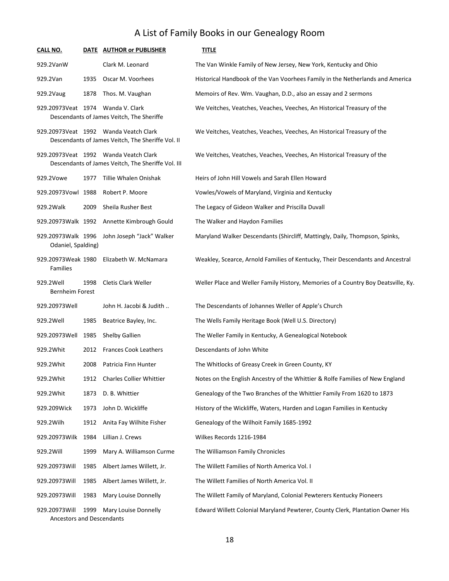| CALL NO.                                                                                                                                                               |      | DATE AUTHOR or PUBLISHER                                                                    | <b>TITLE</b>                                                                      |  |  |
|------------------------------------------------------------------------------------------------------------------------------------------------------------------------|------|---------------------------------------------------------------------------------------------|-----------------------------------------------------------------------------------|--|--|
| 929.2VanW                                                                                                                                                              |      | Clark M. Leonard                                                                            | The Van Winkle Family of New Jersey, New York, Kentucky and Ohio                  |  |  |
| 929.2Van                                                                                                                                                               | 1935 | Oscar M. Voorhees                                                                           | Historical Handbook of the Van Voorhees Family in the Netherlands and America     |  |  |
| 929.2Vaug                                                                                                                                                              | 1878 | Thos. M. Vaughan                                                                            | Memoirs of Rev. Wm. Vaughan, D.D., also an essay and 2 sermons                    |  |  |
| 929.20973 Veat 1974 Wanda V. Clark                                                                                                                                     |      | Descendants of James Veitch, The Sheriffe                                                   | We Veitches, Veatches, Veaches, Veeches, An Historical Treasury of the            |  |  |
|                                                                                                                                                                        |      | 929.20973 Veat 1992 Wanda Veatch Clark<br>Descendants of James Veitch, The Sheriffe Vol. II | We Veitches, Veatches, Veaches, Veeches, An Historical Treasury of the            |  |  |
| 929.20973 Veat 1992 Wanda Veatch Clark<br>We Veitches, Veatches, Veaches, Veeches, An Historical Treasury of the<br>Descendants of James Veitch, The Sheriffe Vol. III |      |                                                                                             |                                                                                   |  |  |
| 929.2Vowe                                                                                                                                                              | 1977 | Tillie Whalen Onishak                                                                       | Heirs of John Hill Vowels and Sarah Ellen Howard                                  |  |  |
| 929.20973Vowl 1988                                                                                                                                                     |      | Robert P. Moore                                                                             | Vowles/Vowels of Maryland, Virginia and Kentucky                                  |  |  |
| 929.2Walk                                                                                                                                                              | 2009 | Sheila Rusher Best                                                                          | The Legacy of Gideon Walker and Priscilla Duvall                                  |  |  |
| 929.20973Walk 1992                                                                                                                                                     |      | Annette Kimbrough Gould                                                                     | The Walker and Haydon Families                                                    |  |  |
| 929.20973Walk 1996<br>Odaniel, Spalding)                                                                                                                               |      | John Joseph "Jack" Walker                                                                   | Maryland Walker Descendants (Shircliff, Mattingly, Daily, Thompson, Spinks,       |  |  |
| 929.20973Weak 1980<br>Families                                                                                                                                         |      | Elizabeth W. McNamara                                                                       | Weakley, Scearce, Arnold Families of Kentucky, Their Descendants and Ancestral    |  |  |
| 929.2Well<br><b>Bernheim Forest</b>                                                                                                                                    | 1998 | Cletis Clark Weller                                                                         | Weller Place and Weller Family History, Memories of a Country Boy Deatsville, Ky. |  |  |
| 929.20973Well                                                                                                                                                          |      | John H. Jacobi & Judith                                                                     | The Descendants of Johannes Weller of Apple's Church                              |  |  |
| 929.2Well                                                                                                                                                              | 1985 | Beatrice Bayley, Inc.                                                                       | The Wells Family Heritage Book (Well U.S. Directory)                              |  |  |
| 929.20973Well                                                                                                                                                          | 1985 | Shelby Gallien                                                                              | The Weller Family in Kentucky, A Genealogical Notebook                            |  |  |
| 929.2Whit                                                                                                                                                              | 2012 | <b>Frances Cook Leathers</b>                                                                | Descendants of John White                                                         |  |  |
| 929.2Whit                                                                                                                                                              | 2008 | Patricia Finn Hunter                                                                        | The Whitlocks of Greasy Creek in Green County, KY                                 |  |  |
| 929.2Whit                                                                                                                                                              | 1912 | Charles Collier Whittier                                                                    | Notes on the English Ancestry of the Whittier & Rolfe Families of New England     |  |  |
| 929.2Whit                                                                                                                                                              | 1873 | D. B. Whittier                                                                              | Genealogy of the Two Branches of the Whittier Family From 1620 to 1873            |  |  |
| 929.209Wick                                                                                                                                                            | 1973 | John D. Wickliffe                                                                           | History of the Wickliffe, Waters, Harden and Logan Families in Kentucky           |  |  |
| 929.2Wilh                                                                                                                                                              | 1912 | Anita Fay Wilhite Fisher                                                                    | Genealogy of the Wilhoit Family 1685-1992                                         |  |  |
| 929.20973Wilk                                                                                                                                                          | 1984 | Lillian J. Crews                                                                            | Wilkes Records 1216-1984                                                          |  |  |
| 929.2Will                                                                                                                                                              | 1999 | Mary A. Williamson Curme                                                                    | The Williamson Family Chronicles                                                  |  |  |
| 929.20973Will                                                                                                                                                          | 1985 | Albert James Willett, Jr.                                                                   | The Willett Families of North America Vol. I                                      |  |  |
| 929.20973Will                                                                                                                                                          | 1985 | Albert James Willett, Jr.                                                                   | The Willett Families of North America Vol. II                                     |  |  |
| 929.20973Will                                                                                                                                                          | 1983 | Mary Louise Donnelly                                                                        | The Willett Family of Maryland, Colonial Pewterers Kentucky Pioneers              |  |  |
| 929.20973Will<br>Ancestors and Descendants                                                                                                                             | 1999 | Mary Louise Donnelly                                                                        | Edward Willett Colonial Maryland Pewterer, County Clerk, Plantation Owner His     |  |  |